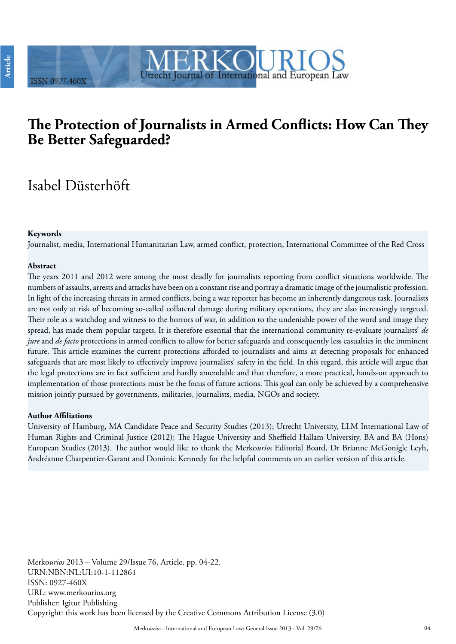# **The Protection of Journalists in Armed Conflicts: How Can They Be Better Safeguarded?**

Utrecht Journal of International and European Law

# Isabel Düsterhöft

**ISSN 0927-460X** 

#### **Keywords**

Journalist, media, International Humanitarian Law, armed conflict, protection, International Committee of the Red Cross

#### **Abstract**

The years 2011 and 2012 were among the most deadly for journalists reporting from conflict situations worldwide. The numbers of assaults, arrests and attacks have been on a constant rise and portray a dramatic image of the journalistic profession. In light of the increasing threats in armed conflicts, being a war reporter has become an inherently dangerous task. Journalists are not only at risk of becoming so-called collateral damage during military operations, they are also increasingly targeted. Their role as a watchdog and witness to the horrors of war, in addition to the undeniable power of the word and image they spread, has made them popular targets. It is therefore essential that the international community re-evaluate journalists' *de jure* and *de facto* protections in armed conflicts to allow for better safeguards and consequently less casualties in the imminent future. This article examines the current protections afforded to journalists and aims at detecting proposals for enhanced safeguards that are most likely to effectively improve journalists' safety in the field. In this regard, this article will argue that the legal protections are in fact sufficient and hardly amendable and that therefore, a more practical, hands-on approach to implementation of those protections must be the focus of future actions. This goal can only be achieved by a comprehensive mission jointly pursued by governments, militaries, journalists, media, NGOs and society.

#### **Author Affiliations**

University of Hamburg, MA Candidate Peace and Security Studies (2013); Utrecht University, LLM International Law of Human Rights and Criminal Justice (2012); The Hague University and Sheffield Hallam University, BA and BA (Hons) European Studies (2013). The author would like to thank the Merko*urios* Editorial Board, Dr Brianne McGonigle Leyh, Andréanne Charpentier-Garant and Dominic Kennedy for the helpful comments on an earlier version of this article.

Merko*urios* 2013 – Volume 29/Issue 76, Article, pp. 04-22. URN:NBN:NL:UI:10-1-112861 ISSN: 0927-460X URL: www.merkourios.org Publisher: Igitur Publishing Copyright: this work has been licensed by the Creative Commons Attribution License (3.0)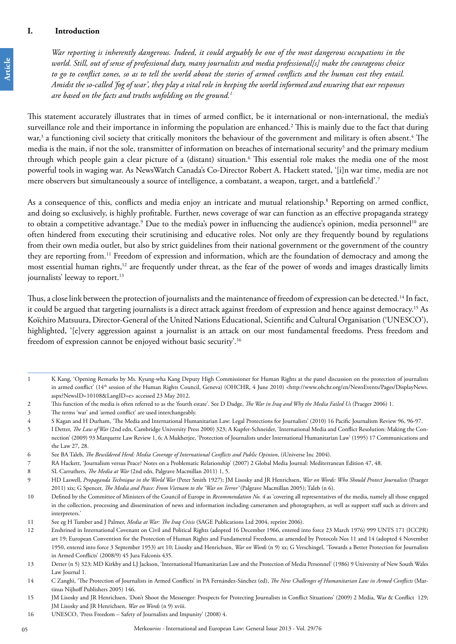**Case Note Article**

Article

*War reporting is inherently dangerous. Indeed, it could arguably be one of the most dangerous occupations in the world. Still, out of sense of professional duty, many journalists and media professional[s] make the courageous choice to go to conflict zones, so as to tell the world about the stories of armed conflicts and the human cost they entail. Amidst the so-called 'fog of war', they play a vital role in keeping the world informed and ensuring that our responses are based on the facts and truths unfolding on the ground.1*

This statement accurately illustrates that in times of armed conflict, be it international or non-international, the media's surveillance role and their importance in informing the population are enhanced.<sup>2</sup> This is mainly due to the fact that during war,<sup>3</sup> a functioning civil society that critically monitors the behaviour of the government and military is often absent.<sup>4</sup> The media is the main, if not the sole, transmitter of information on breaches of international security<sup>5</sup> and the primary medium through which people gain a clear picture of a (distant) situation.<sup>6</sup> This essential role makes the media one of the most powerful tools in waging war. As NewsWatch Canada's Co-Director Robert A. Hackett stated, '[i]n war time, media are not mere observers but simultaneously a source of intelligence, a combatant, a weapon, target, and a battlefield'.7

As a consequence of this, conflicts and media enjoy an intricate and mutual relationship.<sup>8</sup> Reporting on armed conflict, and doing so exclusively, is highly profitable. Further, news coverage of war can function as an effective propaganda strategy to obtain a competitive advantage.<sup>9</sup> Due to the media's power in influencing the audience's opinion, media personnel<sup>10</sup> are often hindered from executing their scrutinising and educative roles. Not only are they frequently bound by regulations from their own media outlet, but also by strict guidelines from their national government or the government of the country they are reporting from.<sup>11</sup> Freedom of expression and information, which are the foundation of democracy and among the most essential human rights,12 are frequently under threat, as the fear of the power of words and images drastically limits journalists' leeway to report.<sup>13</sup>

Thus, a close link between the protection of journalists and the maintenance of freedom of expression can be detected.<sup>14</sup> In fact, it could be argued that targeting journalists is a direct attack against freedom of expression and hence against democracy.<sup>15</sup> As Koïchiro Matsuura, Director-General of the United Nations Educational, Scientific and Cultural Organisation ('UNESCO'), highlighted, '[e]very aggression against a journalist is an attack on our most fundamental freedoms. Press freedom and freedom of expression cannot be enjoyed without basic security'.16

3 The terms 'war' and 'armed conflict' are used interchangeably.

<sup>1</sup> K Kang, 'Opening Remarks by Ms. Kyung-wha Kang Deputy High Commissioner for Human Rights at the panel discussion on the protection of journalists in armed conflict' (14th session of the Human Rights Council, Geneva) (OHCHR, 4 June 2010) <http://www.ohchr.org/en/NewsEvents/Pages/DisplayNews. aspx?NewsID=10108&LangID=e> accessed 23 May 2012.

<sup>2</sup> This function of the media is often referred to as the 'fourth estate'. See D Dadge, *The War in Iraq and Why the Media Failed Us* (Praeger 2006) 1.

<sup>4</sup> S Kagan and H Durham, 'The Media and International Humanitarian Law: Legal Protections for Journalists' (2010) 16 Pacific Journalism Review 96, 96-97.

<sup>5</sup> I Detter, *The Law of War* (2nd edn, Cambridge University Press 2000) 323; A Kupfer-Schneider, 'International Media and Conflict Resolution: Making the Connection' (2009) 93 Marquette Law Review 1, 6; A Mukherjee, 'Protection of Journalists under International Humanitarian Law' (1995) 17 Communications and the Law 27, 28.

<sup>6</sup> See BA Taleb, *The Bewildered Herd: Media Coverage of International Conflicts and Public Opinion*, (iUniverse Inc 2004).

<sup>7</sup> RA Hackett, 'Journalism versus Peace? Notes on a Problematic Relationship' (2007) 2 Global Media Journal: Mediterranean Edition 47, 48.

<sup>8</sup> SL Carruthers, *The Media at War* (2nd edn, Palgrave Macmillan 2011) 1, 5.

<sup>9</sup> HD Laswell, *Propaganda Technique in the World War* (Peter Smith 1927); JM Lisosky and JR Henrichsen, *War on Words: Who Should Protect Journalists* (Praeger 2011) xix; G Spencer, *The Media and Peace: From Vietnam to the 'War on Terror'* (Palgrave Macmillan 2005); Taleb (n 6).

<sup>10</sup> Defined by the Committee of Ministers of the Council of Europe in *Recommendation No. 4* as 'covering all representatives of the media, namely all those engaged in the collection, processing and dissemination of news and information including cameramen and photographers, as well as support staff such as drivers and interpreters.'

<sup>11</sup> See eg H Tumber and J Palmer, *Media at War: The Iraq Crisis* (SAGE Publications Ltd 2004, reprint 2006).

<sup>12</sup> Enshrined in International Covenant on Civil and Political Rights (adopted 16 December 1966, entered into force 23 March 1976) 999 UNTS 171 (ICCPR) art 19; European Convention for the Protection of Human Rights and Fundamental Freedoms, as amended by Protocols Nos 11 and 14 (adopted 4 November 1950, entered into force 3 September 1953) art 10; Lisosky and Henrichsen, *War on Words* (n 9) xx; G Verschingel, 'Towards a Better Protection for Journalists in Armed Conflicts' (2008/9) 45 Jura Falconis 435.

<sup>13</sup> Detter (n 5) 323; MD Kirkby and LJ Jackson, 'International Humanitarian Law and the Protection of Media Personnel' (1986) 9 University of New South Wales Law Journal 1.

<sup>14</sup> C Zanghì, 'The Protection of Journalists in Armed Conflicts' in PA Fernández-Sánchez (ed), *The New Challenges of Humanitarian Law in Armed Conflicts* (Martinus Nijhoff Publishers 2005) 146.

<sup>15</sup> JM Lisosky and JR Henrichsen, 'Don't Shoot the Messenger: Prospects for Protecting Journalists in Conflict Situations' (2009) 2 Media, War & Conflict 129; JM Lisosky and JR Henrichsen, *War on Words* (n 9) xviii.

<sup>16</sup> UNESCO, 'Press Freedom – Safety of Journalists and Impunity' (2008) 4.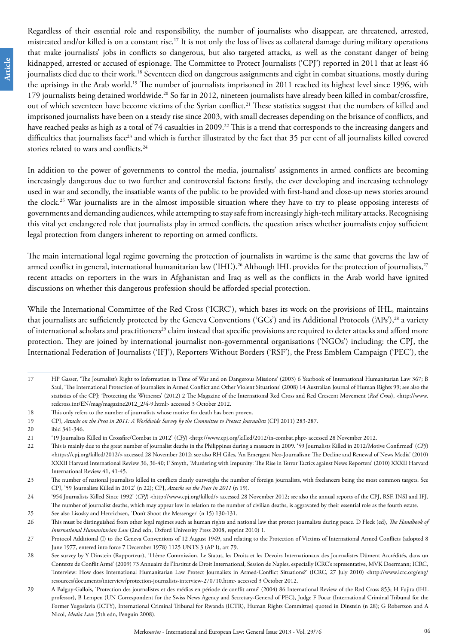Regardless of their essential role and responsibility, the number of journalists who disappear, are threatened, arrested, mistreated and/or killed is on a constant rise.<sup>17</sup> It is not only the loss of lives as collateral damage during military operations that make journalists' jobs in conflicts so dangerous, but also targeted attacks, as well as the constant danger of being kidnapped, arrested or accused of espionage. The Committee to Protect Journalists ('CPJ') reported in 2011 that at least 46 journalists died due to their work.18 Seventeen died on dangerous assignments and eight in combat situations, mostly during the uprisings in the Arab world.19 The number of journalists imprisoned in 2011 reached its highest level since 1996, with 179 journalists being detained worldwide.<sup>20</sup> So far in 2012, nineteen journalists have already been killed in combat/crossfire, out of which seventeen have become victims of the Syrian conflict.<sup>21</sup> These statistics suggest that the numbers of killed and imprisoned journalists have been on a steady rise since 2003, with small decreases depending on the brisance of conflicts, and have reached peaks as high as a total of 74 casualties in 2009.<sup>22</sup> This is a trend that corresponds to the increasing dangers and difficulties that journalists face<sup>23</sup> and which is further illustrated by the fact that 35 per cent of all journalists killed covered stories related to wars and conflicts.<sup>24</sup>

In addition to the power of governments to control the media, journalists' assignments in armed conflicts are becoming increasingly dangerous due to two further and controversial factors: firstly, the ever developing and increasing technology used in war and secondly, the insatiable wants of the public to be provided with first-hand and close-up news stories around the clock.<sup>25</sup> War journalists are in the almost impossible situation where they have to try to please opposing interests of governments and demanding audiences, while attempting to stay safe from increasingly high-tech military attacks. Recognising this vital yet endangered role that journalists play in armed conflicts, the question arises whether journalists enjoy sufficient legal protection from dangers inherent to reporting on armed conflicts.

The main international legal regime governing the protection of journalists in wartime is the same that governs the law of armed conflict in general, international humanitarian law ('IHL').<sup>26</sup> Although IHL provides for the protection of journalists,<sup>27</sup> recent attacks on reporters in the wars in Afghanistan and Iraq as well as the conflicts in the Arab world have ignited discussions on whether this dangerous profession should be afforded special protection.

While the International Committee of the Red Cross ('ICRC'), which bases its work on the provisions of IHL, maintains that journalists are sufficiently protected by the Geneva Conventions ('GCs') and its Additional Protocols ('APs'),<sup>28</sup> a variety of international scholars and practitioners<sup>29</sup> claim instead that specific provisions are required to deter attacks and afford more protection. They are joined by international journalist non-governmental organisations ('NGOs') including: the CPJ, the International Federation of Journalists ('IFJ'), Reporters Without Borders ('RSF'), the Press Emblem Campaign ('PEC'), the

<sup>17</sup> HP Gasser, 'The Journalist's Right to Information in Time of War and on Dangerous Missions' (2003) 6 Yearbook of International Humanitarian Law 367; B Saul, 'The International Protection of Journalists in Armed Conflict and Other Violent Situations' (2008) 14 Australian Journal of Human Rights 99; see also the statistics of the CPJ; 'Protecting the Witnesses' (2012) 2 The Magazine of the International Red Cross and Red Crescent Movement (*Red Cross*), <http://www. redcross.int/EN/mag/magazine2012\_2/4-9.html> accessed 3 October 2012.

<sup>18</sup> This only refers to the number of journalists whose motive for death has been proven.

<sup>19</sup> CPJ, *Attacks on the Press in 2011: A Worldwide Survey by the Committee to Protect Journalists* (CPJ 2011) 283-287.

<sup>20</sup> ibid 341-346.

<sup>21</sup> '19 Journalists Killed in Crossfire/Combat in 2012' (*CPJ*) <[http://www.cpj.org/killed/2012/in-combat.php>](http://www.cpj.org/killed/2012/in-combat.php) accessed 28 November 2012.

<sup>22</sup> This is mainly due to the great number of journalist deaths in the Philippines during a massacre in 2009. '59 Journalists Killed in 2012/Motive Confirmed' (*CPJ*) <https://cpj.org/killed/2012/> accessed 28 November 2012; see also RH Giles, 'An Emergent Neo-Journalism: The Decline and Renewal of News Media' (2010) XXXII Harvard International Review 36, 36-40; F Smyth, 'Murdering with Impunity: The Rise in Terror Tactics against News Reporters' (2010) XXXII Harvard International Review 41, 41-45.

<sup>23</sup> The number of national journalists killed in conflicts clearly outweighs the number of foreign journalists, with freelancers being the most common targets. See CPJ, '59 Journalists Killed in 2012' (n 22); CPJ, *Attacks on the Press in 2011* (n 19).

<sup>24</sup> '954 Journalists Killed Since 1992' (*CPJ*) [<http://www.cpj.org/killed/>](http://www.cpj.org/killed/) accessed 28 November 2012; see also the annual reports of the CPJ, RSF, INSI and IFJ. The number of journalist deaths, which may appear low in relation to the number of civilian deaths, is aggravated by their essential role as the fourth estate.

<sup>25</sup> See also Lisosky and Henrichsen, 'Don't Shoot the Messenger' (n 15) 130-131.

<sup>26</sup> This must be distinguished from other legal regimes such as human rights and national law that protect journalists during peace. D Fleck (ed), *The Handbook of International Humanitarian Law* (2nd edn, Oxford University Press 2008, reprint 2010) 1.

<sup>27</sup> Protocol Additional (I) to the Geneva Conventions of 12 August 1949, and relating to the Protection of Victims of International Armed Conflicts (adopted 8 June 1977, entered into force 7 December 1978) 1125 UNTS 3 (AP I), art 79.

<sup>28</sup> See survey by Y Dinstein (Rapporteur), '11ème Commission. Le Statut, les Droits et les Devoirs Internationaux des Journalistes Dûment Accrédités, dans un Contexte de Conflit Armé' (2009) 73 Annuaire de l'Institut de Droit International, Session de Naples, especially ICRC's representative, MVK Doermann; ICRC, 'Interview: How does International Humanitarian Law Protect Journalists in Armed-Conflict Situations?' (ICRC*,* 27 July 2010) [<http://www.icrc.org/eng/](http://www.icrc.org/eng/resources/documents/interview/protection-journalists-interview-270710.htm) [resources/documents/interview/protection-journalists-interview-270710.htm>](http://www.icrc.org/eng/resources/documents/interview/protection-journalists-interview-270710.htm) accessed 3 October 2012.

<sup>29</sup> A Balguy-Gallois, 'Protection des journalistes et des médias en période de conflit armé' (2004) 86 International Review of the Red Cross 853; H Fujita (IHL professor), B Lempen (UN Correspondent for the Swiss News Agency and Secretary-General of PEC), Judge F Pocar (International Criminal Tribunal for the Former Yugoslavia (ICTY), International Criminal Tribunal for Rwanda (ICTR), Human Rights Committee) quoted in Dinstein (n 28); G Robertson and A Nicol, *Media Law* (5th edn, Penguin 2008).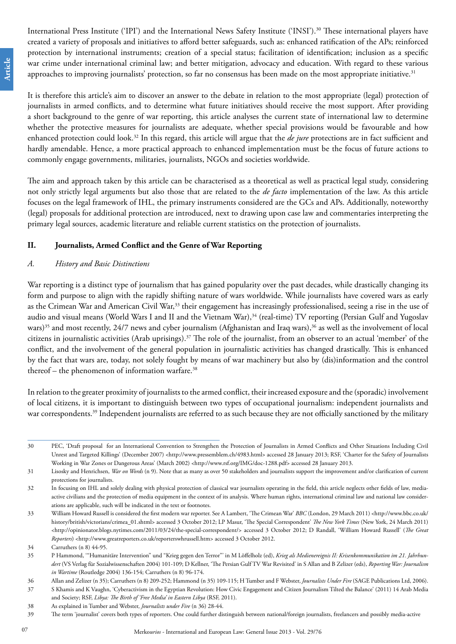International Press Institute ('IPI') and the International News Safety Institute ('INSI').30 These international players have created a variety of proposals and initiatives to afford better safeguards, such as: enhanced ratification of the APs; reinforced protection by international instruments; creation of a special status; facilitation of identification; inclusion as a specific war crime under international criminal law; and better mitigation, advocacy and education. With regard to these various approaches to improving journalists' protection, so far no consensus has been made on the most appropriate initiative.<sup>31</sup>

It is therefore this article's aim to discover an answer to the debate in relation to the most appropriate (legal) protection of journalists in armed conflicts, and to determine what future initiatives should receive the most support. After providing a short background to the genre of war reporting, this article analyses the current state of international law to determine whether the protective measures for journalists are adequate, whether special provisions would be favourable and how enhanced protection could look.32 In this regard, this article will argue that the *de jure* protections are in fact sufficient and hardly amendable. Hence, a more practical approach to enhanced implementation must be the focus of future actions to commonly engage governments, militaries, journalists, NGOs and societies worldwide.

The aim and approach taken by this article can be characterised as a theoretical as well as practical legal study, considering not only strictly legal arguments but also those that are related to the *de facto* implementation of the law. As this article focuses on the legal framework of IHL, the primary instruments considered are the GCs and APs. Additionally, noteworthy (legal) proposals for additional protection are introduced, next to drawing upon case law and commentaries interpreting the primary legal sources, academic literature and reliable current statistics on the protection of journalists.

#### **II. Journalists, Armed Conflict and the Genre of War Reporting**

#### *A. History and Basic Distinctions*

War reporting is a distinct type of journalism that has gained popularity over the past decades, while drastically changing its form and purpose to align with the rapidly shifting nature of wars worldwide. While journalists have covered wars as early as the Crimean War and American Civil War,<sup>33</sup> their engagement has increasingly professionalised, seeing a rise in the use of audio and visual means (World Wars I and II and the Vietnam War),<sup>34</sup> (real-time) TV reporting (Persian Gulf and Yugoslav wars)<sup>35</sup> and most recently, 24/7 news and cyber journalism (Afghanistan and Iraq wars),<sup>36</sup> as well as the involvement of local citizens in journalistic activities (Arab uprisings).37 The role of the journalist, from an observer to an actual 'member' of the conflict, and the involvement of the general population in journalistic activities has changed drastically. This is enhanced by the fact that wars are, today, not solely fought by means of war machinery but also by (dis)information and the control thereof – the phenomenon of information warfare. $38$ 

In relation to the greater proximity of journalists to the armed conflict, their increased exposure and the (sporadic) involvement of local citizens, it is important to distinguish between two types of occupational journalism: independent journalists and war correspondents.<sup>39</sup> Independent journalists are referred to as such because they are not officially sanctioned by the military

<sup>30</sup> PEC, 'Draft proposal for an International Convention to Strengthen the Protection of Journalists in Armed Conflicts and Other Situations Including Civil Unrest and Targeted Killings' (December 2007) <http://www.pressemblem.ch/4983.html> accessed 28 January 2013; RSF, 'Charter for the Safety of Journalists Working in War Zones or Dangerous Areas' (March 2002) <http://www.rsf.org/IMG/doc-1288.pdf> accessed 28 January 2013.

<sup>31</sup> Lisosky and Henrichsen, *War on Words* (n 9). Note that as many as over 50 stakeholders and journalists support the improvement and/or clarification of current protections for journalists.

<sup>32</sup> In focusing on IHL and solely dealing with physical protection of classical war journalists operating in the field, this article neglects other fields of law, mediaactive civilians and the protection of media equipment in the context of its analysis. Where human rights, international criminal law and national law considerations are applicable, such will be indicated in the text or footnotes.

<sup>33</sup> William Howard Russell is considered the first modern war reporter. See A Lambert, 'The Crimean War' *BBC* (London, 29 March 2011) <[http://www.bbc.co.uk/](http://www.bbc.co.uk/history/british/victorians/crimea_01.shtml) [history/british/victorians/crimea\\_01.shtml](http://www.bbc.co.uk/history/british/victorians/crimea_01.shtml)> accessed 3 October 2012; LP Masur, 'The Special Correspondent' *The New York Times* (New York, 24 March 2011) [<http://opinionator.blogs.nytimes.com/2011/03/24/the-special-correspondent/>](http://opinionator.blogs.nytimes.com/2011/03/24/the-special-correspondent/) accessed 3 October 2012; D Randall, 'William Howard Russell' (*The Great Reporters*) [<http://www.greatreporters.co.uk/reporterswhrussell.htm](http://www.greatreporters.co.uk/reporterswhrussell.htm)> accessed 3 October 2012.

<sup>34</sup> Carruthers (n 8) 44-95.

<sup>35</sup> P Hammond, '"Humanitäre Intervention" und "Krieg gegen den Terror"' in M Löffelholz (ed), *Krieg als Medienereignis II: Krisenkommunikation im 21. Jahrhundert* (VS Verlag für Sozialwissenschaften 2004) 101-109; D Kellner, 'The Persian Gulf TV War Revisited' in S Allan and B Zelizer (eds), *Reporting War: Journalism in Wartime* (Routledge 2004) 136-154; Carruthers (n 8) 96-174.

<sup>36</sup> Allan and Zelizer (n 35); Carruthers (n 8) 209-252; Hammond (n 35) 109-115; H Tumber and F Webster, *Journalists Under Fire* (SAGE Publications Ltd, 2006).

<sup>37</sup> S Khamis and K Vaughn, 'Cyberactivism in the Egyptian Revolution: How Civic Engagement and Citizen Journalism Tilted the Balance' (2011) 14 Arab Media and Society; RSF, *Libya: The Birth of 'Free Media' in Eastern Libya* (RSF, 2011).

<sup>38</sup> As explained in Tumber and Webster, *Journalists under Fire* (n 36) 28-44.

<sup>39</sup> The term 'journalist' covers both types of reporters. One could further distinguish between national/foreign journalists, freelancers and possibly media-active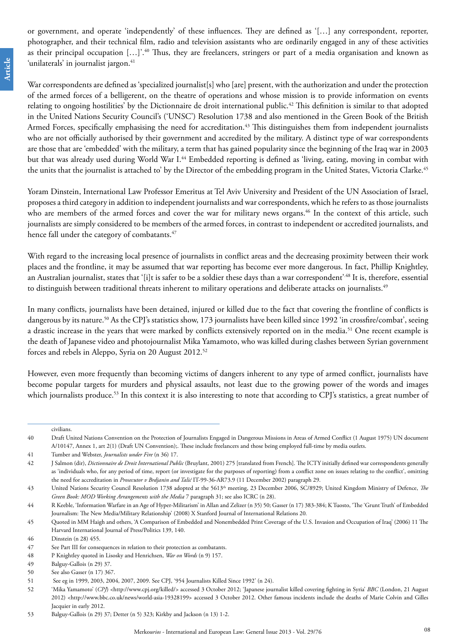or government, and operate 'independently' of these influences. They are defined as '[…] any correspondent, reporter, photographer, and their technical film, radio and television assistants who are ordinarily engaged in any of these activities as their principal occupation [...]'.<sup>40</sup> Thus, they are freelancers, stringers or part of a media organisation and known as 'unilaterals' in journalist jargon.<sup>41</sup>

War correspondents are defined as 'specialized journalist[s] who [are] present, with the authorization and under the protection of the armed forces of a belligerent, on the theatre of operations and whose mission is to provide information on events relating to ongoing hostilities' by the Dictionnaire de droit international public.<sup>42</sup> This definition is similar to that adopted in the United Nations Security Council's ('UNSC') Resolution 1738 and also mentioned in the Green Book of the British Armed Forces, specifically emphasising the need for accreditation.<sup>43</sup> This distinguishes them from independent journalists who are not officially authorised by their government and accredited by the military. A distinct type of war correspondents are those that are 'embedded' with the military, a term that has gained popularity since the beginning of the Iraq war in 2003 but that was already used during World War I.<sup>44</sup> Embedded reporting is defined as 'living, eating, moving in combat with the units that the journalist is attached to' by the Director of the embedding program in the United States, Victoria Clarke.<sup>45</sup>

Yoram Dinstein, International Law Professor Emeritus at Tel Aviv University and President of the UN Association of Israel, proposes a third category in addition to independent journalists and war correspondents, which he refers to as those journalists who are members of the armed forces and cover the war for military news organs.<sup>46</sup> In the context of this article, such journalists are simply considered to be members of the armed forces, in contrast to independent or accredited journalists, and hence fall under the category of combatants.<sup>47</sup>

With regard to the increasing local presence of journalists in conflict areas and the decreasing proximity between their work places and the frontline, it may be assumed that war reporting has become ever more dangerous. In fact, Phillip Knightley, an Australian journalist, states that '[i]t is safer to be a soldier these days than a war correspondent'.48 It is, therefore, essential to distinguish between traditional threats inherent to military operations and deliberate attacks on journalists.<sup>49</sup>

In many conflicts, journalists have been detained, injured or killed due to the fact that covering the frontline of conflicts is dangerous by its nature.<sup>50</sup> As the CPJ's statistics show, 173 journalists have been killed since 1992 'in crossfire/combat', seeing a drastic increase in the years that were marked by conflicts extensively reported on in the media.<sup>51</sup> One recent example is the death of Japanese video and photojournalist Mika Yamamoto, who was killed during clashes between Syrian government forces and rebels in Aleppo, Syria on 20 August 2012.52

However, even more frequently than becoming victims of dangers inherent to any type of armed conflict, journalists have become popular targets for murders and physical assaults, not least due to the growing power of the words and images which journalists produce.<sup>53</sup> In this context it is also interesting to note that according to CPJ's statistics, a great number of

civilians.

<sup>40</sup> Draft United Nations Convention on the Protection of Journalists Engaged in Dangerous Missions in Areas of Armed Conflict (1 August 1975) UN document A/10147, Annex 1, art 2(1) (Draft UN Convention);. These include freelancers and those being employed full-time by media outlets.

<sup>41</sup> Tumber and Webster, *Journalists under Fire* (n 36) 17.

<sup>42</sup> J Salmon (dir), *Dictionnaire de Droit International Public* (Bruylant, 2001) 275 [translated from French]. The ICTY initially defined war correspondents generally as 'individuals who, for any period of time, report (or investigate for the purposes of reporting) from a conflict zone on issues relating to the conflict', omitting the need for accreditation in *Prosecutor v Brdjanin and Talić* IT-99-36-AR73.9 (11 December 2002) paragraph 29.

<sup>43</sup> United Nations Security Council Resolution 1738 adopted at the 5613th meeting, 23 December 2006, SC/8929; United Kingdom Ministry of Defence, *The Green Book: MOD Working Arrangements with the Media* 7 paragraph 31; see also ICRC (n 28).

<sup>44</sup> R Keeble, 'Information Warfare in an Age of Hyper-Militarism' in Allan and Zelizer (n 35) 50; Gasser (n 17) 383-384; K Tuosto, 'The 'Grunt Truth' of Embedded Journalism: The New Media/Military Relationship' (2008) X Stanford Journal of International Relations 20*.*

<sup>45</sup> Quoted in MM Haigh and others, 'A Comparison of Embedded and Nonembedded Print Coverage of the U.S. Invasion and Occupation of Iraq' (2006) 11 The Harvard International Journal of Press/Politics 139, 140.

<sup>46</sup> Dinstein (n 28) 455.

<sup>47</sup> See Part III for consequences in relation to their protection as combatants.

<sup>48</sup> P Knightley quoted in Lisosky and Henrichsen, *War on Words* (n 9) 157.

<sup>49</sup> Balguy-Gallois (n 29) 37.

<sup>50</sup> See also Gasser (n 17) 367.

<sup>51</sup> See eg in 1999, 2003, 2004, 2007, 2009. See CPJ, '954 Journalists Killed Since 1992' (n 24).

<sup>52</sup> 'Mika Yamamoto' (*CPJ*) [<http://www.cpj.org/killed/](http://www.cpj.org/killed/)> accessed 3 October 2012; 'Japanese journalist killed covering fighting in Syria' *BBC* (London, 21 August 2012) [<http://www.bbc.co.uk/news/world-asia-19328199>](http://www.bbc.co.uk/news/world-asia-19328199) accessed 3 October 2012. Other famous incidents include the deaths of Marie Colvin and Gilles Jacquier in early 2012.

<sup>53</sup> Balguy-Gallois (n 29) 37; Detter (n 5) 323; Kirkby and Jackson (n 13) 1-2.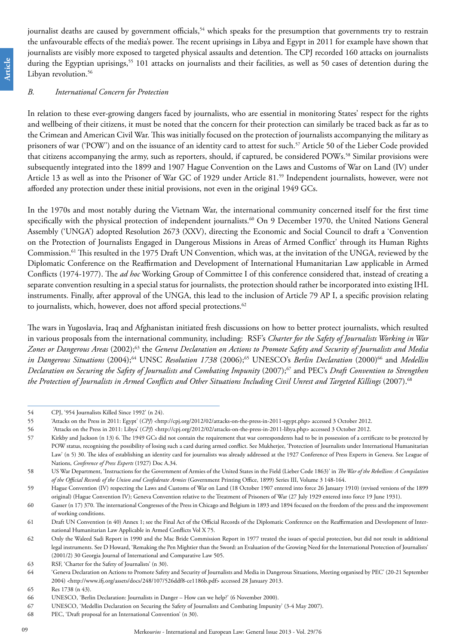**Case Note Article** Article journalist deaths are caused by government officials,<sup>54</sup> which speaks for the presumption that governments try to restrain the unfavourable effects of the media's power. The recent uprisings in Libya and Egypt in 2011 for example have shown that journalists are visibly more exposed to targeted physical assaults and detention. The CPJ recorded 160 attacks on journalists during the Egyptian uprisings,<sup>55</sup> 101 attacks on journalists and their facilities, as well as 50 cases of detention during the Libyan revolution.<sup>56</sup>

#### *B. International Concern for Protection*

In relation to these ever-growing dangers faced by journalists, who are essential in monitoring States' respect for the rights and wellbeing of their citizens, it must be noted that the concern for their protection can similarly be traced back as far as to the Crimean and American Civil War. This was initially focused on the protection of journalists accompanying the military as prisoners of war ('POW') and on the issuance of an identity card to attest for such.<sup>57</sup> Article 50 of the Lieber Code provided that citizens accompanying the army, such as reporters, should, if captured, be considered POWs.58 Similar provisions were subsequently integrated into the 1899 and 1907 Hague Convention on the Laws and Customs of War on Land (IV) under Article 13 as well as into the Prisoner of War GC of 1929 under Article 81.59 Independent journalists, however, were not afforded any protection under these initial provisions, not even in the original 1949 GCs.

In the 1970s and most notably during the Vietnam War, the international community concerned itself for the first time specifically with the physical protection of independent journalists.<sup>60</sup> On 9 December 1970, the United Nations General Assembly ('UNGA') adopted Resolution 2673 (XXV), directing the Economic and Social Council to draft a 'Convention on the Protection of Journalists Engaged in Dangerous Missions in Areas of Armed Conflict' through its Human Rights Commission.61 This resulted in the 1975 Draft UN Convention, which was, at the invitation of the UNGA, reviewed by the Diplomatic Conference on the Reaffirmation and Development of International Humanitarian Law applicable in Armed Conflicts (1974-1977). The *ad hoc* Working Group of Committee I of this conference considered that, instead of creating a separate convention resulting in a special status for journalists, the protection should rather be incorporated into existing IHL instruments. Finally, after approval of the UNGA, this lead to the inclusion of Article 79 AP I, a specific provision relating to journalists, which, however, does not afford special protections.<sup>62</sup>

The wars in Yugoslavia, Iraq and Afghanistan initiated fresh discussions on how to better protect journalists, which resulted in various proposals from the international community, including: RSF's *Charter for the Safety of Journalists Working in War Zones or Dangerous Areas* (2002);63 the *Geneva Declaration on Actions to Promote Safety and Security of Journalists and Media in Dangerous Situations* (2004);<sup>64</sup> UNSC *Resolution 1738* (2006);<sup>65</sup> UNESCO's *Berlin Declaration* (2000)<sup>66</sup> and *Medellin Declaration on Securing the Safety of Journalists and Combating Impunity* (2007);67 and PEC's *Draft Convention to Strengthen*  the Protection of Journalists in Armed Conflicts and Other Situations Including Civil Unrest and Targeted Killings (2007).<sup>68</sup>

<sup>54</sup> CPJ, '954 Journalists Killed Since 1992' (n 24).

<sup>55</sup> 'Attacks on the Press in 2011: Egypt' (*CPJ*) [<http://cpj.org/2012/02/attacks-on-the-press-in-2011-egypt.php](http://cpj.org/2012/02/attacks-on-the-press-in-2011-egypt.php)> accessed 3 October 2012.

<sup>56 &#</sup>x27;Attacks on the Press in 2011: Libya' (*CPJ*) <[http://cpj.org/2012/02/attacks-on-the-press-in-2011-libya.php>](http://cpj.org/2012/02/attacks-on-the-press-in-2011-libya.php) accessed 3 October 2012.

<sup>57</sup> Kirkby and Jackson (n 13) 6. The 1949 GCs did not contain the requirement that war correspondents had to be in possession of a certificate to be protected by POW status, recognising the possibility of losing such a card during armed conflict. See Mukherjee, 'Protection of Journalists under International Humanitarian Law' (n 5) 30. The idea of establishing an identity card for journalists was already addressed at the 1927 Conference of Press Experts in Geneva. See League of Nations, *Conference of Press Experts* (1927) Doc A.34.

<sup>58</sup> US War Department, 'Instructions for the Government of Armies of the United States in the Field (Lieber Code 1863)' in *The War of the Rebellion: A Compilation of the Official Records of the Union and Confederate Armies* (Government Printing Office, 1899) Series III, Volume 3 148-164.

<sup>59</sup> Hague Convention (IV) respecting the Laws and Customs of War on Land (18 October 1907 entered into force 26 January 1910) (revised versions of the 1899 original) (Hague Convention IV); Geneva Convention relative to the Treatment of Prisoners of War (27 July 1929 entered into force 19 June 1931).

<sup>60</sup> Gasser (n 17) 370. The international Congresses of the Press in Chicago and Belgium in 1893 and 1894 focused on the freedom of the press and the improvement of working conditions.

<sup>61</sup> Draft UN Convention (n 40) Annex 1; see the Final Act of the Official Records of the Diplomatic Conference on the Reaffirmation and Development of International Humanitarian Law Applicable in Armed Conflicts Vol X 75.

<sup>62</sup> Only the Waleed Sadi Report in 1990 and the Mac Bride Commission Report in 1977 treated the issues of special protection, but did not result in additional legal instruments. See D Howard, 'Remaking the Pen Mightier than the Sword: an Evaluation of the Growing Need for the International Protection of Journalists' (2001/2) 30 Georgia Journal of International and Comparative Law 505.

<sup>63</sup> RSF, 'Charter for the Safety of Journalists' (n 30).

<sup>64</sup> 'Geneva Declaration on Actions to Promote Safety and Security of Journalists and Media in Dangerous Situations, Meeting organised by PEC' (20-21 September 2004) <http://www.ifj.org/assets/docs/248/107/526ddf8-ce1186b.pdf> accessed 28 January 2013.

<sup>65</sup> Res 1738 (n 43).

<sup>66</sup> UNESCO, 'Berlin Declaration: Journalists in Danger – How can we help?' (6 November 2000).

<sup>67</sup> UNESCO, 'Medellin Declaration on Securing the Safety of Journalists and Combating Impunity' (3-4 May 2007).

<sup>68</sup> PEC, 'Draft proposal for an International Convention' (n 30).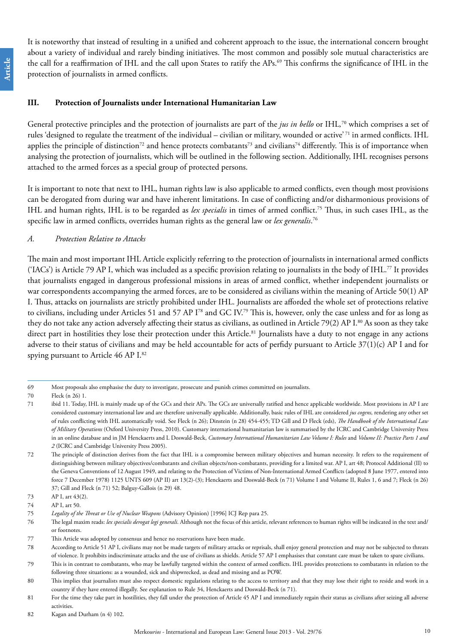It is noteworthy that instead of resulting in a unified and coherent approach to the issue, the international concern brought about a variety of individual and rarely binding initiatives. The most common and possibly sole mutual characteristics are the call for a reaffirmation of IHL and the call upon States to ratify the APs.<sup>69</sup> This confirms the significance of IHL in the protection of journalists in armed conflicts.

#### **III. Protection of Journalists under International Humanitarian Law**

General protective principles and the protection of journalists are part of the *jus in bello* or IHL*,* 70 which comprises a set of rules 'designed to regulate the treatment of the individual – civilian or military, wounded or active' 71 in armed conflicts. IHL applies the principle of distinction<sup>72</sup> and hence protects combatants<sup>73</sup> and civilians<sup>74</sup> differently. This is of importance when analysing the protection of journalists, which will be outlined in the following section. Additionally, IHL recognises persons attached to the armed forces as a special group of protected persons.

It is important to note that next to IHL, human rights law is also applicable to armed conflicts, even though most provisions can be derogated from during war and have inherent limitations. In case of conflicting and/or disharmonious provisions of IHL and human rights, IHL is to be regarded as *lex specialis* in times of armed conflict.75 Thus, in such cases IHL, as the specific law in armed conflicts, overrides human rights as the general law or *lex generalis*. 76

#### *A. Protection Relative to Attacks*

The main and most important IHL Article explicitly referring to the protection of journalists in international armed conflicts ('IACs') is Article 79 AP I, which was included as a specific provision relating to journalists in the body of IHL.<sup>77</sup> It provides that journalists engaged in dangerous professional missions in areas of armed conflict, whether independent journalists or war correspondents accompanying the armed forces, are to be considered as civilians within the meaning of Article 50(1) AP I. Thus, attacks on journalists are strictly prohibited under IHL. Journalists are afforded the whole set of protections relative to civilians, including under Articles 51 and 57 AP I78 and GC IV.79 This is, however, only the case unless and for as long as they do not take any action adversely affecting their status as civilians, as outlined in Article 79(2) AP I.<sup>80</sup> As soon as they take direct part in hostilities they lose their protection under this Article.<sup>81</sup> Journalists have a duty to not engage in any actions adverse to their status of civilians and may be held accountable for acts of perfidy pursuant to Article 37(1)(c) AP I and for spying pursuant to Article 46 AP I.<sup>82</sup>

<sup>69</sup> Most proposals also emphasise the duty to investigate, prosecute and punish crimes committed on journalists.

<sup>70</sup> Fleck (n 26) 1.

<sup>71</sup> ibid 11. Today, IHL is mainly made up of the GCs and their APs. The GCs are universally ratified and hence applicable worldwide. Most provisions in AP I are considered customary international law and are therefore universally applicable. Additionally, basic rules of IHL are considered *jus cogens,* rendering any other set of rules conflicting with IHL automatically void. See Fleck (n 26); Dinstein (n 28) 454-455; TD Gill and D Fleck (eds), *The Handbook of the International Law of Military Operations* (Oxford University Press, 2010). Customary international humanitarian law is summarised by the ICRC and Cambridge University Press in an online database and in JM Henckaerts and L Doswald-Beck, *Customary International Humanitarian Law Volume I: Rules* and *Volume II: Practice Parts 1 and 2* (ICRC and Cambridge University Press 2005).

<sup>72</sup> The principle of distinction derives from the fact that IHL is a compromise between military objectives and human necessity. It refers to the requirement of distinguishing between military objectives/combatants and civilian objects/non-combatants, providing for a limited war. AP I, art 48; Protocol Additional (II) to the Geneva Conventions of 12 August 1949, and relating to the Protection of Victims of Non-International Armed Conflicts (adopted 8 June 1977, entered into force 7 December 1978) 1125 UNTS 609 (AP II) art 13(2)-(3); Henckaerts and Doswald-Beck (n 71) Volume I and Volume II, Rules 1, 6 and 7; Fleck (n 26) 37; Gill and Fleck (n 71) 52; Balguy-Gallois (n 29) 48.

<sup>73</sup> AP I, art 43(2).

<sup>74</sup> AP I, art 50.

<sup>75</sup> *Legality of the Threat or Use of Nuclear Weapons* (Advisory Opinion) [1996] ICJ Rep para 25.

<sup>76</sup> The legal maxim reads: *lex specialis derogat legi generali*. Although not the focus of this article, relevant references to human rights will be indicated in the text and/ or footnotes.

<sup>77</sup> This Article was adopted by consensus and hence no reservations have been made.

<sup>78</sup> According to Article 51 AP I, civilians may not be made targets of military attacks or reprisals, shall enjoy general protection and may not be subjected to threats of violence. It prohibits indiscriminate attacks and the use of civilians as shields. Article 57 AP I emphasises that constant care must be taken to spare civilians.

<sup>79</sup> This is in contrast to combatants, who may be lawfully targeted within the context of armed conflicts. IHL provides protections to combatants in relation to the following three situations: as a wounded, sick and shipwrecked, as dead and missing and as POW.

<sup>80</sup> This implies that journalists must also respect domestic regulations relating to the access to territory and that they may lose their right to reside and work in a country if they have entered illegally. See explanation to Rule 34, Henckaerts and Doswald-Beck (n 71).

<sup>81</sup> For the time they take part in hostilities, they fall under the protection of Article 45 AP I and immediately regain their status as civilians after seizing all adverse activities.

<sup>82</sup> Kagan and Durham (n 4) 102.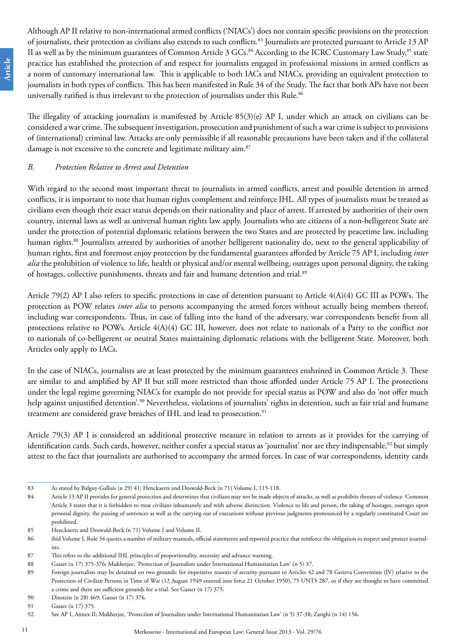Although AP II relative to non-international armed conflicts ('NIACs') does not contain specific provisions on the protection of journalists, their protection as civilians also extends to such conflicts.83 Journalists are protected pursuant to Article 13 AP II as well as by the minimum guarantees of Common Article 3 GCs.<sup>84</sup> According to the ICRC Customary Law Study,<sup>85</sup> state practice has established the protection of and respect for journalists engaged in professional missions in armed conflicts as a norm of customary international law. This is applicable to both IACs and NIACs, providing an equivalent protection to journalists in both types of conflicts. This has been manifested in Rule 34 of the Study. The fact that both APs have not been universally ratified is thus irrelevant to the protection of journalists under this Rule.<sup>86</sup>

The illegality of attacking journalists is manifested by Article 85(3)(e) AP I, under which an attack on civilians can be considered a war crime. The subsequent investigation, prosecution and punishment of such a war crime is subject to provisions of (international) criminal law. Attacks are only permissible if all reasonable precautions have been taken and if the collateral damage is not excessive to the concrete and legitimate military aim.<sup>87</sup>

#### *B. Protection Relative to Arrest and Detention*

With regard to the second most important threat to journalists in armed conflicts, arrest and possible detention in armed conflicts, it is important to note that human rights complement and reinforce IHL. All types of journalists must be treated as civilians even though their exact status depends on their nationality and place of arrest. If arrested by authorities of their own country, internal laws as well as universal human rights law apply. Journalists who are citizens of a non-belligerent State are under the protection of potential diplomatic relations between the two States and are protected by peacetime law, including human rights.<sup>88</sup> Journalists arrested by authorities of another belligerent nationality do, next to the general applicability of human rights, first and foremost enjoy protection by the fundamental guarantees afforded by Article 75 AP I, including *inter alia* the prohibition of violence to life, health or physical and/or mental wellbeing, outrages upon personal dignity, the taking of hostages, collective punishments, threats and fair and humane detention and trial.<sup>89</sup>

Article 79(2) AP I also refers to specific protections in case of detention pursuant to Article 4(A)(4) GC III as POWs. The protection as POW relates *inter alia* to persons accompanying the armed forces without actually being members thereof, including war correspondents. Thus, in case of falling into the hand of the adversary, war correspondents benefit from all protections relative to POWs. Article 4(A)(4) GC III, however, does not relate to nationals of a Party to the conflict nor to nationals of co-belligerent or neutral States maintaining diplomatic relations with the belligerent State. Moreover, both Articles only apply to IACs.

In the case of NIACs, journalists are at least protected by the minimum guarantees enshrined in Common Article 3. These are similar to and amplified by AP II but still more restricted than those afforded under Article 75 AP I. The protections under the legal regime governing NIACs for example do not provide for special status as POW and also do 'not offer much help against unjustified detention'.<sup>90</sup> Nevertheless, violations of journalists' rights in detention, such as fair trial and humane treatment are considered grave breaches of IHL and lead to prosecution.<sup>91</sup>

Article 79(3) AP I is considered an additional protective measure in relation to arrests as it provides for the carrying of identification cards. Such cards, however, neither confer a special status as 'journalist' nor are they indispensable,<sup>92</sup> but simply attest to the fact that journalists are authorised to accompany the armed forces. In case of war correspondents, identity cards

<sup>83</sup> As stated by Balguy-Gallois (n 29) 41; Henckaerts and Doswald-Beck (n 71) Volume I, 115-118.

<sup>84</sup> Article 13 AP II provides for general protection and determines that civilians may not be made objects of attacks, as well as prohibits threats of violence. Common Article 3 states that it is forbidden to treat civilians inhumanely and with adverse distinction. Violence to life and person, the taking of hostages, outrages upon personal dignity, the passing of sentences as well as the carrying out of executions without previous judgments pronounced by a regularly constituted Court are prohibited.

<sup>85</sup> Henckaerts and Doswald-Beck (n 71) Volume I and Volume II.

<sup>86</sup> ibid Volume I, Rule 34 quotes a number of military manuals, official statements and reported practice that reinforce the obligation to respect and protect journalists.

<sup>87</sup> This refers to the additional IHL principles of proportionality, necessity and advance warning.

<sup>88</sup> Gasser (n 17) 375-376; Mukherjee, 'Protection of Journalists under International Humanitarian Law' (n 5) 37.

<sup>89</sup> Foreign journalists may be detained on two grounds: for imperative reasons of security pursuant to Articles 42 and 78 Geneva Convention (IV) relative to the Protection of Civilian Persons in Time of War (12 August 1949 entered into force 21 October 1950), 75 UNTS 287, or if they are thought to have committed a crime and there are sufficient grounds for a trial. See Gasser (n 17) 375.

<sup>90</sup> Dinstein (n 28) 469; Gasser (n 17) 376.

<sup>91</sup> Gasser (n 17) 375.

<sup>92</sup> See AP I, Annex II; Mukherjee, 'Protection of Journalists under International Humanitarian Law' (n 5) 37-38; Zanghì (n 14) 156.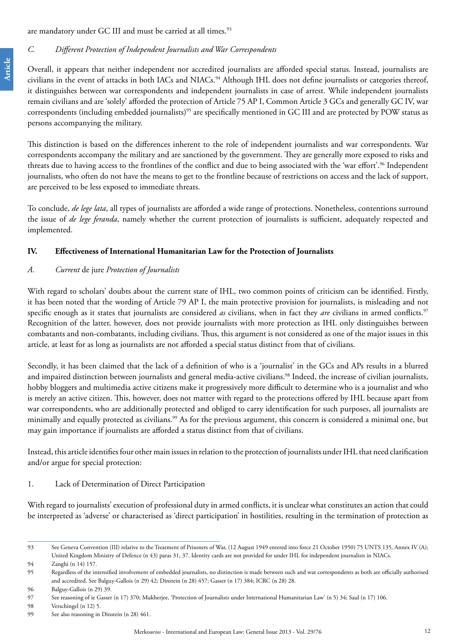are mandatory under GC III and must be carried at all times.<sup>93</sup>

#### *C. Different Protection of Independent Journalists and War Correspondents*

Overall, it appears that neither independent nor accredited journalists are afforded special status. Instead, journalists are civilians in the event of attacks in both IACs and NIACs.<sup>94</sup> Although IHL does not define journalists or categories thereof, it distinguishes between war correspondents and independent journalists in case of arrest. While independent journalists remain civilians and are 'solely' afforded the protection of Article 75 AP I, Common Article 3 GCs and generally GC IV, war correspondents (including embedded journalists)<sup>95</sup> are specifically mentioned in GC III and are protected by POW status as persons accompanying the military.

This distinction is based on the differences inherent to the role of independent journalists and war correspondents. War correspondents accompany the military and are sanctioned by the government. They are generally more exposed to risks and threats due to having access to the frontlines of the conflict and due to being associated with the 'war effort'.<sup>96</sup> Independent journalists, who often do not have the means to get to the frontline because of restrictions on access and the lack of support, are perceived to be less exposed to immediate threats.

To conclude, *de lege lata*, all types of journalists are afforded a wide range of protections. Nonetheless, contentions surround the issue of *de lege feranda*, namely whether the current protection of journalists is sufficient, adequately respected and implemented.

#### **IV. Effectiveness of International Humanitarian Law for the Protection of Journalists**

#### *A. Current* de jure *Protection of Journalists*

With regard to scholars' doubts about the current state of IHL, two common points of criticism can be identified. Firstly, it has been noted that the wording of Article 79 AP I, the main protective provision for journalists, is misleading and not specific enough as it states that journalists are considered *as* civilians, when in fact they *are* civilians in armed conflicts.97 Recognition of the latter, however, does not provide journalists with more protection as IHL only distinguishes between combatants and non-combatants, including civilians. Thus, this argument is not considered as one of the major issues in this article, at least for as long as journalists are not afforded a special status distinct from that of civilians.

Secondly, it has been claimed that the lack of a definition of who is a 'journalist' in the GCs and APs results in a blurred and impaired distinction between journalists and general media-active civilians.<sup>98</sup> Indeed, the increase of civilian journalists, hobby bloggers and multimedia active citizens make it progressively more difficult to determine who is a journalist and who is merely an active citizen. This, however, does not matter with regard to the protections offered by IHL because apart from war correspondents, who are additionally protected and obliged to carry identification for such purposes, all journalists are minimally and equally protected as civilians.<sup>99</sup> As for the previous argument, this concern is considered a minimal one, but may gain importance if journalists are afforded a status distinct from that of civilians.

Instead, this article identifies four other main issues in relation to the protection of journalists under IHL that need clarification and/or argue for special protection:

#### 1. Lack of Determination of Direct Participation

With regard to journalists' execution of professional duty in armed conflicts, it is unclear what constitutes an action that could be interpreted as 'adverse' or characterised as 'direct participation' in hostilities, resulting in the termination of protection as

<sup>93</sup> See Geneva Convention (III) relative to the Treatment of Prisoners of War, (12 August 1949 entered into force 21 October 1950) 75 UNTS 135, Annex IV (A); United Kingdom Ministry of Defence (n 43) paras 31, 37. Identity cards are not provided for under IHL for independent journalists in NIACs.

<sup>94</sup> Zanghì (n 14) 157.

<sup>95</sup> Regardless of the intensified involvement of embedded journalists, no distinction is made between such and war correspondents as both are officially authorised and accredited. See Balguy-Gallois (n 29) 42; Dinstein (n 28) 457; Gasser (n 17) 384; ICRC (n 28) 28.

<sup>96</sup> Balguy-Gallois (n 29) 39.

<sup>97</sup> See reasoning of ie Gasser (n 17) 370; Mukherjee, 'Protection of Journalists under International Humanitarian Law' (n 5) 34; Saul (n 17) 106.

<sup>98</sup> Verschingel (n 12) 5.

<sup>99</sup> See also reasoning in Dinstein (n 28) 461.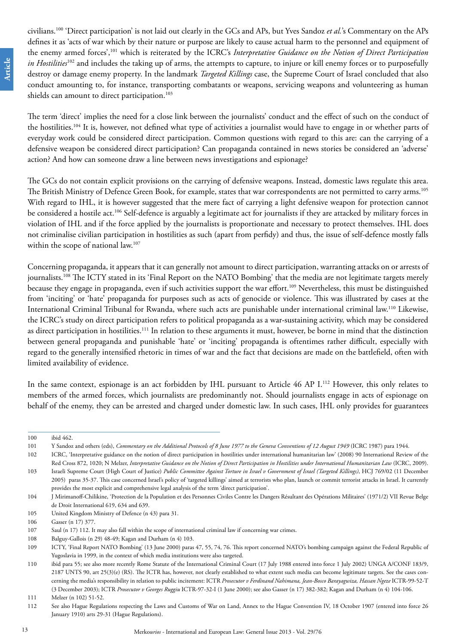civilians.100 'Direct participation' is not laid out clearly in the GCs and APs, but Yves Sandoz *et al.*'s Commentary on the APs defines it as 'acts of war which by their nature or purpose are likely to cause actual harm to the personnel and equipment of the enemy armed forces',101 which is reiterated by the ICRC's *Interpretative Guidance on the Notion of Direct Participation in Hostilities*<sup>102</sup> and includes the taking up of arms, the attempts to capture, to injure or kill enemy forces or to purposefully destroy or damage enemy property. In the landmark *Targeted Killings* case, the Supreme Court of Israel concluded that also conduct amounting to, for instance, transporting combatants or weapons, servicing weapons and volunteering as human shields can amount to direct participation.<sup>103</sup>

The term 'direct' implies the need for a close link between the journalists' conduct and the effect of such on the conduct of the hostilities.104 It is, however, not defined what type of activities a journalist would have to engage in or whether parts of everyday work could be considered direct participation. Common questions with regard to this are: can the carrying of a defensive weapon be considered direct participation? Can propaganda contained in news stories be considered an 'adverse' action? And how can someone draw a line between news investigations and espionage?

The GCs do not contain explicit provisions on the carrying of defensive weapons. Instead, domestic laws regulate this area. The British Ministry of Defence Green Book, for example, states that war correspondents are not permitted to carry arms.<sup>105</sup> With regard to IHL, it is however suggested that the mere fact of carrying a light defensive weapon for protection cannot be considered a hostile act.<sup>106</sup> Self-defence is arguably a legitimate act for journalists if they are attacked by military forces in violation of IHL and if the force applied by the journalists is proportionate and necessary to protect themselves. IHL does not criminalise civilian participation in hostilities as such (apart from perfidy) and thus, the issue of self-defence mostly falls within the scope of national law.<sup>107</sup>

Concerning propaganda, it appears that it can generally not amount to direct participation, warranting attacks on or arrests of journalists.<sup>108</sup> The ICTY stated in its 'Final Report on the NATO Bombing' that the media are not legitimate targets merely because they engage in propaganda, even if such activities support the war effort.<sup>109</sup> Nevertheless, this must be distinguished from 'inciting' or 'hate' propaganda for purposes such as acts of genocide or violence. This was illustrated by cases at the International Criminal Tribunal for Rwanda, where such acts are punishable under international criminal law.110 Likewise, the ICRC's study on direct participation refers to political propaganda as a war-sustaining activity, which may be considered as direct participation in hostilities.<sup>111</sup> In relation to these arguments it must, however, be borne in mind that the distinction between general propaganda and punishable 'hate' or 'inciting' propaganda is oftentimes rather difficult, especially with regard to the generally intensified rhetoric in times of war and the fact that decisions are made on the battlefield, often with limited availability of evidence.

In the same context, espionage is an act forbidden by IHL pursuant to Article 46 AP I.<sup>112</sup> However, this only relates to members of the armed forces, which journalists are predominantly not. Should journalists engage in acts of espionage on behalf of the enemy, they can be arrested and charged under domestic law. In such cases, IHL only provides for guarantees

<sup>100</sup> ibid 462.

<sup>101</sup> Y Sandoz and others (eds), *Commentary on the Additional Protocols of 8 June 1977 to the Geneva Conventions of 12 August 1949* (ICRC 1987) para 1944.

<sup>102</sup> ICRC, 'Interpretative guidance on the notion of direct participation in hostilities under international humanitarian law' (2008) 90 International Review of the Red Cross 872, 1020; N Melzer, *Interpretative Guidance on the Notion of Direct Participation in Hostilities under International Humanitarian Law* (ICRC, 2009).

<sup>103</sup> Israeli Supreme Court (High Court of Justice) *Public Committee Against Torture in Israel v Government of Israel (Targeted Killings)*, HCJ 769/02 (11 December 2005) paras 35-37. This case concerned Israel's policy of 'targeted killings' aimed at terrorists who plan, launch or commit terrorist attacks in Israel. It currently provides the most explicit and comprehensive legal analysis of the term 'direct participation'.

<sup>104</sup> J Mirimanoff-Chilikine, 'Protection de la Population et des Personnes Civiles Contre les Dangers Résultant des Opérations Militaires' (1971/2) VII Revue Belge de Droit International 619, 634 and 639.

<sup>105</sup> United Kingdom Ministry of Defence (n 43) para 31.

<sup>106</sup> Gasser (n 17) 377.

<sup>107</sup> Saul (n 17) 112. It may also fall within the scope of international criminal law if concerning war crimes.

<sup>108</sup> Balguy-Gallois (n 29) 48-49; Kagan and Durham (n 4) 103.

<sup>109</sup> ICTY, 'Final Report NATO Bombing' (13 June 2000) paras 47, 55, 74, 76. This report concerned NATO's bombing campaign against the Federal Republic of Yugoslavia in 1999, in the context of which media institutions were also targeted.

<sup>110</sup> ibid para 55; see also more recently Rome Statute of the International Criminal Court (17 July 1988 entered into force 1 July 2002) UNGA A/CONF 183/9, 2187 UNTS 90, art 25(3)(e) (RS). The ICTR has, however, not clearly established to what extent such media can become legitimate targets. See the cases concerning the media's responsibility in relation to public incitement: ICTR *Prosecutor v Ferdinand Nahimana, Jean-Bosco Barayagwiza, Hassan Ngeze* ICTR-99-52-T (3 December 2003); ICTR *Prosecutor v Georges Ruggiu* ICTR-97-32-I (1 June 2000); see also Gasser (n 17) 382-382; Kagan and Durham (n 4) 104-106.

<sup>111</sup> Melzer (n 102) 51-52.

<sup>112</sup> See also Hague Regulations respecting the Laws and Customs of War on Land, Annex to the Hague Convention IV, 18 October 1907 (entered into force 26 January 1910) arts 29-31 (Hague Regulations).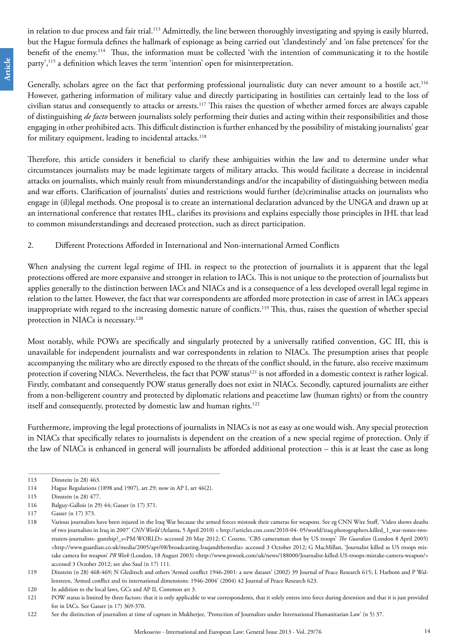in relation to due process and fair trial.<sup>113</sup> Admittedly, the line between thoroughly investigating and spying is easily blurred, but the Hague formula defines the hallmark of espionage as being carried out 'clandestinely' and 'on false pretences' for the benefit of the enemy.114 Thus, the information must be collected 'with the intention of communicating it to the hostile party',<sup>115</sup> a definition which leaves the term 'intention' open for misinterpretation.

Generally, scholars agree on the fact that performing professional journalistic duty can never amount to a hostile act.<sup>116</sup> However, gathering information of military value and directly participating in hostilities can certainly lead to the loss of civilian status and consequently to attacks or arrests.117 This raises the question of whether armed forces are always capable of distinguishing *de facto* between journalists solely performing their duties and acting within their responsibilities and those engaging in other prohibited acts. This difficult distinction is further enhanced by the possibility of mistaking journalists' gear for military equipment, leading to incidental attacks.<sup>118</sup>

Therefore, this article considers it beneficial to clarify these ambiguities within the law and to determine under what circumstances journalists may be made legitimate targets of military attacks. This would facilitate a decrease in incidental attacks on journalists, which mainly result from misunderstandings and/or the incapability of distinguishing between media and war efforts. Clarification of journalists' duties and restrictions would further (de)criminalise attacks on journalists who engage in (il)legal methods. One proposal is to create an international declaration advanced by the UNGA and drawn up at an international conference that restates IHL, clarifies its provisions and explains especially those principles in IHL that lead to common misunderstandings and decreased protection, such as direct participation.

### 2. Different Protections Afforded in International and Non-international Armed Conflicts

When analysing the current legal regime of IHL in respect to the protection of journalists it is apparent that the legal protections offered are more expansive and stronger in relation to IACs. This is not unique to the protection of journalists but applies generally to the distinction between IACs and NIACs and is a consequence of a less developed overall legal regime in relation to the latter. However, the fact that war correspondents are afforded more protection in case of arrest in IACs appears inappropriate with regard to the increasing domestic nature of conflicts.<sup>119</sup> This, thus, raises the question of whether special protection in NIACs is necessary.<sup>120</sup>

Most notably, while POWs are specifically and singularly protected by a universally ratified convention, GC III, this is unavailable for independent journalists and war correspondents in relation to NIACs. The presumption arises that people accompanying the military who are directly exposed to the threats of the conflict should, in the future, also receive maximum protection if covering NIACs. Nevertheless, the fact that POW status<sup>121</sup> is not afforded in a domestic context is rather logical. Firstly, combatant and consequently POW status generally does not exist in NIACs. Secondly, captured journalists are either from a non-belligerent country and protected by diplomatic relations and peacetime law (human rights) or from the country itself and consequently, protected by domestic law and human rights.<sup>122</sup>

Furthermore, improving the legal protections of journalists in NIACs is not as easy as one would wish. Any special protection in NIACs that specifically relates to journalists is dependent on the creation of a new special regime of protection. Only if the law of NIACs is enhanced in general will journalists be afforded additional protection – this is at least the case as long

<sup>113</sup> Dinstein (n 28) 463.

<sup>114</sup> Hague Regulations (1898 and 1907), art 29; now in AP I, art 46(2).

<sup>115</sup> Dinstein (n 28) 477.

<sup>116</sup> Balguy-Gallois (n 29) 44; Gasser (n 17) 371.

<sup>117</sup> Gasser (n 17) 373.

<sup>118</sup> Various journalists have been injured in the Iraq War because the armed forces mistook their cameras for weapons. See eg CNN Wire Staff, 'Video shows deaths of two journalists in Iraq in 2007' *CNN World* (Atlanta, 5 April 2010) < http://articles.cnn.com/2010-04- 05/world/iraq.photographers.killed\_1\_war-zones-tworeuters-journalists- gunship?\_s=PM:WORLD> accessed 20 May 2012; C Cozens, 'CBS cameraman shot by US troops' *The Guardian* (London 8 April 2005) [<http://www.guardian.co.uk/media/2005/apr/08/broadcasting.Iraqandthemedia](http://www.guardian.co.uk/media/2005/apr/08/broadcasting.Iraqandthemedia)> accessed 3 October 2012; G MacMillan, 'Journalist killed as US troops mis-take camera for weapon' PR Week (London, 18 August 2003) [<http://www.prweek.com/uk/news/188000/Journalist-killed-US-troops-mistake-camera-weapon/](http://www.prweek.com/uk/news/188000/Journalist-killed-US-troops-mistake-camera-weapon/)> accessed 3 October 2012; see also Saul (n 17) 111.

<sup>119</sup> Dinstein (n 28) 468-469; N Gleditsch and others 'Armed conflict 1946-2001: a new dataset' (2002) 39 Journal of Peace Research 615; L Harbom and P Wallensteen, 'Armed conflict and its international dimensions: 1946-2004' (2004) 42 Journal of Peace Research 623.

<sup>120</sup> In addition to the local laws, GCs and AP II, Common art 3.

<sup>121</sup> POW status is limited by three factors: that it is only applicable to war correspondents, that it solely enters into force during detention and that it is just provided for in IACs. See Gasser (n 17) 369-370.

<sup>122</sup> See the distinction of journalists at time of capture in Mukherjee, 'Protection of Journalists under International Humanitarian Law' (n 5) 37.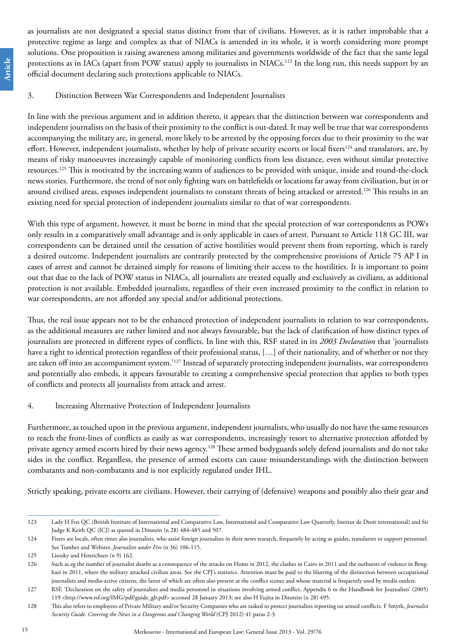as journalists are not designated a special status distinct from that of civilians. However, as it is rather improbable that a protective regime as large and complex as that of NIACs is amended in its whole, it is worth considering more prompt solutions. One proposition is raising awareness among militaries and governments worldwide of the fact that the same legal protections as in IACs (apart from POW status) apply to journalists in NIACs.<sup>123</sup> In the long run, this needs support by an official document declaring such protections applicable to NIACs.

### 3. Distinction Between War Correspondents and Independent Journalists

In line with the previous argument and in addition thereto, it appears that the distinction between war correspondents and independent journalists on the basis of their proximity to the conflict is out-dated. It may well be true that war correspondents accompanying the military are, in general, more likely to be arrested by the opposing forces due to their proximity to the war effort. However, independent journalists, whether by help of private security escorts or local fixers<sup>124</sup> and translators, are, by means of risky manoeuvres increasingly capable of monitoring conflicts from less distance, even without similar protective resources.125 This is motivated by the increasing wants of audiences to be provided with unique, inside and round-the-clock news stories. Furthermore, the trend of not only fighting wars on battlefields or locations far away from civilisation, but in or around civilised areas, exposes independent journalists to constant threats of being attacked or arrested.126 This results in an existing need for special protection of independent journalists similar to that of war correspondents.

With this type of argument, however, it must be borne in mind that the special protection of war correspondents as POWs only results in a comparatively small advantage and is only applicable in cases of arrest. Pursuant to Article 118 GC III, war correspondents can be detained until the cessation of active hostilities would prevent them from reporting, which is rarely a desired outcome. Independent journalists are contrarily protected by the comprehensive provisions of Article 75 AP I in cases of arrest and cannot be detained simply for reasons of limiting their access to the hostilities. It is important to point out that due to the lack of POW status in NIACs, all journalists are treated equally and exclusively as civilians, as additional protection is not available. Embedded journalists, regardless of their even increased proximity to the conflict in relation to war correspondents, are not afforded any special and/or additional protections.

Thus, the real issue appears not to be the enhanced protection of independent journalists in relation to war correspondents, as the additional measures are rather limited and not always favourable, but the lack of clarification of how distinct types of journalists are protected in different types of conflicts. In line with this, RSF stated in its *2003 Declaration* that 'journalists have a right to identical protection regardless of their professional status, […] of their nationality, and of whether or not they are taken off into an accompaniment system.'127 Instead of separately protecting independent journalists, war correspondents and potentially also embeds, it appears favourable to creating a comprehensive special protection that applies to both types of conflicts and protects all journalists from attack and arrest.

## 4. Increasing Alternative Protection of Independent Journalists

Furthermore, as touched upon in the previous argument, independent journalists, who usually do not have the same resources to reach the front-lines of conflicts as easily as war correspondents, increasingly resort to alternative protection afforded by private agency armed escorts hired by their news agency.128 These armed bodyguards solely defend journalists and do not take sides in the conflict. Regardless, the presence of armed escorts can cause misunderstandings with the distinction between combatants and non-combatants and is not explicitly regulated under IHL.

Strictly speaking, private escorts are civilians. However, their carrying of (defensive) weapons and possibly also their gear and

<sup>123</sup> Lady H Fox QC (British Institute of International and Comparative Law, International and Comparative Law Quarterly, Institut de Droit international) and Sir Judge K Keith QC (ICJ) as quoted in Dinstein (n 28) 484-485 and 507.

<sup>124</sup> Fixers are locals, often times also journalists, who assist foreign journalists in their news research, frequently by acting as guides, translators or support personnel. See Tumber and Webster, *Journalists under Fire* (n 36) 106-115.

<sup>125</sup> Lisosky and Henrichsen (n 9) 162.

<sup>126</sup> Such as eg the number of journalist deaths as a consequence of the attacks on Homs in 2012, the clashes in Cairo in 2011 and the outbursts of violence in Benghazi in 2011, where the military attacked civilian areas. See the CPJ's statistics. Attention must be paid to the blurring of the distinction between occupational journalists and media-active citizens, the latter of which are often also present at the conflict scenes and whose material is frequently used by media outlets.

<sup>127</sup> RSF, 'Declaration on the safety of journalists and media personnel in situations involving armed conflict, Appendix 6 to the Handbook for Journalists' (2005) 119 <http://www.rsf.org/IMG/pdf/guide\_gb.pdf> accessed 28 January 2013; see also H Fujita in Dinstein (n 28) 495.

<sup>128</sup> This also refers to employees of Private Military and/or Security Companies who are tasked to protect journalists reporting on armed conflicts. F Smyth, *Journalist Security Guide. Covering the News in a Dangerous and Changing World* (CPJ 2012) 41 paras 2-3.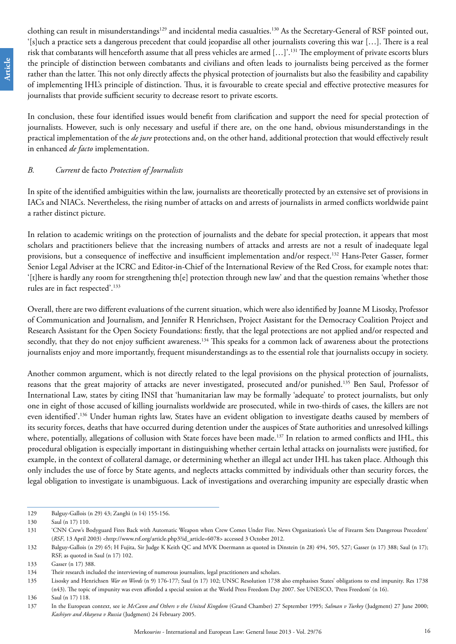clothing can result in misunderstandings<sup>129</sup> and incidental media casualties.<sup>130</sup> As the Secretary-General of RSF pointed out, '[s]uch a practice sets a dangerous precedent that could jeopardise all other journalists covering this war […]. There is a real risk that combatants will henceforth assume that all press vehicles are armed […]'.131 The employment of private escorts blurs the principle of distinction between combatants and civilians and often leads to journalists being perceived as the former rather than the latter. This not only directly affects the physical protection of journalists but also the feasibility and capability of implementing IHL's principle of distinction. Thus, it is favourable to create special and effective protective measures for journalists that provide sufficient security to decrease resort to private escorts.

In conclusion, these four identified issues would benefit from clarification and support the need for special protection of journalists. However, such is only necessary and useful if there are, on the one hand, obvious misunderstandings in the practical implementation of the *de jure* protections and, on the other hand, additional protection that would effectively result in enhanced *de facto* implementation.

#### *B. Current* de facto *Protection of Journalists*

In spite of the identified ambiguities within the law, journalists are theoretically protected by an extensive set of provisions in IACs and NIACs. Nevertheless, the rising number of attacks on and arrests of journalists in armed conflicts worldwide paint a rather distinct picture.

In relation to academic writings on the protection of journalists and the debate for special protection, it appears that most scholars and practitioners believe that the increasing numbers of attacks and arrests are not a result of inadequate legal provisions, but a consequence of ineffective and insufficient implementation and/or respect.<sup>132</sup> Hans-Peter Gasser, former Senior Legal Adviser at the ICRC and Editor-in-Chief of the International Review of the Red Cross, for example notes that: '[t]here is hardly any room for strengthening th[e] protection through new law' and that the question remains 'whether those rules are in fact respected'.133

Overall, there are two different evaluations of the current situation, which were also identified by Joanne M Lisosky, Professor of Communication and Journalism, and Jennifer R Henrichsen, Project Assistant for the Democracy Coalition Project and Research Assistant for the Open Society Foundations: firstly, that the legal protections are not applied and/or respected and secondly, that they do not enjoy sufficient awareness.<sup>134</sup> This speaks for a common lack of awareness about the protections journalists enjoy and more importantly, frequent misunderstandings as to the essential role that journalists occupy in society.

Another common argument, which is not directly related to the legal provisions on the physical protection of journalists, reasons that the great majority of attacks are never investigated, prosecuted and/or punished.135 Ben Saul, Professor of International Law, states by citing INSI that 'humanitarian law may be formally 'adequate' to protect journalists, but only one in eight of those accused of killing journalists worldwide are prosecuted, while in two-thirds of cases, the killers are not even identified'.136 Under human rights law, States have an evident obligation to investigate deaths caused by members of its security forces, deaths that have occurred during detention under the auspices of State authorities and unresolved killings where, potentially, allegations of collusion with State forces have been made.<sup>137</sup> In relation to armed conflicts and IHL, this procedural obligation is especially important in distinguishing whether certain lethal attacks on journalists were justified, for example, in the context of collateral damage, or determining whether an illegal act under IHL has taken place. Although this only includes the use of force by State agents, and neglects attacks committed by individuals other than security forces, the legal obligation to investigate is unambiguous. Lack of investigations and overarching impunity are especially drastic when

<sup>129</sup> Balguy-Gallois (n 29) 43; Zanghì (n 14) 155-156.

<sup>130</sup> Saul (n 17) 110.

<sup>131</sup> 'CNN Crew's Bodyguard Fires Back with Automatic Weapon when Crew Comes Under Fire. News Organization's Use of Firearm Sets Dangerous Precedent' (*RSF*, 13 April 2003) <[http://www.rsf.org/article.php3?id\\_article=6078>](http://www.rsf.org/article.php3?id_article=6078) accessed 3 October 2012.

<sup>132</sup> Balguy-Gallois (n 29) 65; H Fujita, Sir Judge K Keith QC and MVK Doermann as quoted in Dinstein (n 28) 494, 505, 527; Gasser (n 17) 388; Saul (n 17); RSF, as quoted in Saul (n 17) 102.

<sup>133</sup> Gasser (n 17) 388.

<sup>134</sup> Their research included the interviewing of numerous journalists, legal practitioners and scholars.

<sup>135</sup> Lisosky and Henrichsen *War on Words* (n 9) 176-177; Saul (n 17) 102; UNSC Resolution 1738 also emphasises States' obligations to end impunity. Res 1738 (n43). The topic of impunity was even afforded a special session at the World Press Freedom Day 2007. See UNESCO, 'Press Freedom' (n 16).

<sup>136</sup> Saul (n 17) 118.

<sup>137</sup> In the European context, see ie *McCann and Others v the United Kingdom* (Grand Chamber) 27 September 1995; *Salman v Turkey* (Judgment) 27 June 2000; *Kashiyev and Akayeva v Russia* (Judgment) 24 February 2005.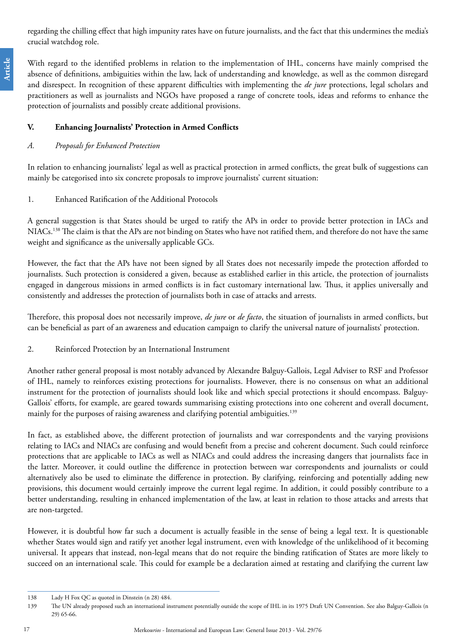regarding the chilling effect that high impunity rates have on future journalists, and the fact that this undermines the media's crucial watchdog role.

With regard to the identified problems in relation to the implementation of IHL, concerns have mainly comprised the absence of definitions, ambiguities within the law, lack of understanding and knowledge, as well as the common disregard and disrespect. In recognition of these apparent difficulties with implementing the *de jure* protections, legal scholars and practitioners as well as journalists and NGOs have proposed a range of concrete tools, ideas and reforms to enhance the protection of journalists and possibly create additional provisions.

# **V. Enhancing Journalists' Protection in Armed Conflicts**

## *A. Proposals for Enhanced Protection*

In relation to enhancing journalists' legal as well as practical protection in armed conflicts, the great bulk of suggestions can mainly be categorised into six concrete proposals to improve journalists' current situation:

1. Enhanced Ratification of the Additional Protocols

A general suggestion is that States should be urged to ratify the APs in order to provide better protection in IACs and NIACs.138 The claim is that the APs are not binding on States who have not ratified them, and therefore do not have the same weight and significance as the universally applicable GCs.

However, the fact that the APs have not been signed by all States does not necessarily impede the protection afforded to journalists. Such protection is considered a given, because as established earlier in this article, the protection of journalists engaged in dangerous missions in armed conflicts is in fact customary international law. Thus, it applies universally and consistently and addresses the protection of journalists both in case of attacks and arrests.

Therefore, this proposal does not necessarily improve, *de jure* or *de facto*, the situation of journalists in armed conflicts, but can be beneficial as part of an awareness and education campaign to clarify the universal nature of journalists' protection.

2. Reinforced Protection by an International Instrument

Another rather general proposal is most notably advanced by Alexandre Balguy-Gallois, Legal Adviser to RSF and Professor of IHL, namely to reinforces existing protections for journalists. However, there is no consensus on what an additional instrument for the protection of journalists should look like and which special protections it should encompass. Balguy-Gallois' efforts, for example, are geared towards summarising existing protections into one coherent and overall document, mainly for the purposes of raising awareness and clarifying potential ambiguities.<sup>139</sup>

In fact, as established above, the different protection of journalists and war correspondents and the varying provisions relating to IACs and NIACs are confusing and would benefit from a precise and coherent document. Such could reinforce protections that are applicable to IACs as well as NIACs and could address the increasing dangers that journalists face in the latter. Moreover, it could outline the difference in protection between war correspondents and journalists or could alternatively also be used to eliminate the difference in protection. By clarifying, reinforcing and potentially adding new provisions, this document would certainly improve the current legal regime. In addition, it could possibly contribute to a better understanding, resulting in enhanced implementation of the law, at least in relation to those attacks and arrests that are non-targeted.

However, it is doubtful how far such a document is actually feasible in the sense of being a legal text. It is questionable whether States would sign and ratify yet another legal instrument, even with knowledge of the unlikelihood of it becoming universal. It appears that instead, non-legal means that do not require the binding ratification of States are more likely to succeed on an international scale. This could for example be a declaration aimed at restating and clarifying the current law

<sup>138</sup> Lady H Fox QC as quoted in Dinstein (n 28) 484.

<sup>139</sup> The UN already proposed such an international instrument potentially outside the scope of IHL in its 1975 Draft UN Convention. See also Balguy-Gallois (n 29) 65-66.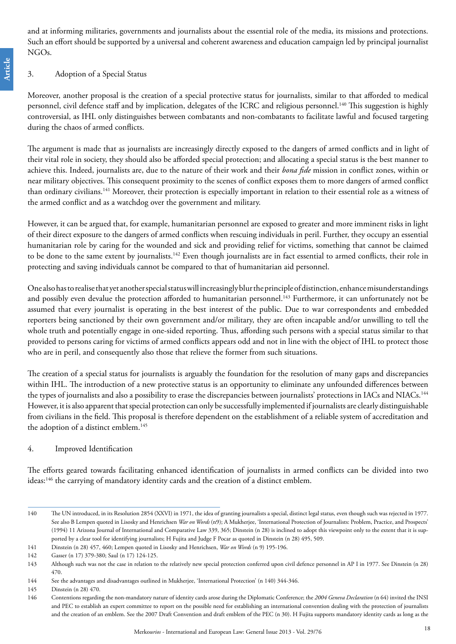and at informing militaries, governments and journalists about the essential role of the media, its missions and protections. Such an effort should be supported by a universal and coherent awareness and education campaign led by principal journalist NGOs.

#### 3. Adoption of a Special Status

Moreover, another proposal is the creation of a special protective status for journalists, similar to that afforded to medical personnel, civil defence staff and by implication, delegates of the ICRC and religious personnel.<sup>140</sup> This suggestion is highly controversial, as IHL only distinguishes between combatants and non-combatants to facilitate lawful and focused targeting during the chaos of armed conflicts.

The argument is made that as journalists are increasingly directly exposed to the dangers of armed conflicts and in light of their vital role in society, they should also be afforded special protection; and allocating a special status is the best manner to achieve this. Indeed, journalists are, due to the nature of their work and their *bona fide* mission in conflict zones, within or near military objectives. This consequent proximity to the scenes of conflict exposes them to more dangers of armed conflict than ordinary civilians.<sup>141</sup> Moreover, their protection is especially important in relation to their essential role as a witness of the armed conflict and as a watchdog over the government and military.

However, it can be argued that, for example, humanitarian personnel are exposed to greater and more imminent risks in light of their direct exposure to the dangers of armed conflicts when rescuing individuals in peril. Further, they occupy an essential humanitarian role by caring for the wounded and sick and providing relief for victims, something that cannot be claimed to be done to the same extent by journalists.<sup>142</sup> Even though journalists are in fact essential to armed conflicts, their role in protecting and saving individuals cannot be compared to that of humanitarian aid personnel.

One also has to realise that yet another special status will increasingly blur the principle of distinction, enhance misunderstandings and possibly even devalue the protection afforded to humanitarian personnel.<sup>143</sup> Furthermore, it can unfortunately not be assumed that every journalist is operating in the best interest of the public. Due to war correspondents and embedded reporters being sanctioned by their own government and/or military, they are often incapable and/or unwilling to tell the whole truth and potentially engage in one-sided reporting. Thus, affording such persons with a special status similar to that provided to persons caring for victims of armed conflicts appears odd and not in line with the object of IHL to protect those who are in peril, and consequently also those that relieve the former from such situations.

The creation of a special status for journalists is arguably the foundation for the resolution of many gaps and discrepancies within IHL. The introduction of a new protective status is an opportunity to eliminate any unfounded differences between the types of journalists and also a possibility to erase the discrepancies between journalists' protections in IACs and NIACs.<sup>144</sup> However, it is also apparent that special protection can only be successfully implemented if journalists are clearly distinguishable from civilians in the field. This proposal is therefore dependent on the establishment of a reliable system of accreditation and the adoption of a distinct emblem.<sup>145</sup>

#### 4. Improved Identification

The efforts geared towards facilitating enhanced identification of journalists in armed conflicts can be divided into two ideas:146 the carrying of mandatory identity cards and the creation of a distinct emblem.

<sup>140</sup> The UN introduced, in its Resolution 2854 (XXVI) in 1971, the idea of granting journalists a special, distinct legal status, even though such was rejected in 1977. See also B Lempen quoted in Lisosky and Henrichsen *War on Words* (n9); A Mukherjee, 'International Protection of Journalists: Problem, Practice, and Prospects' (1994) 11 Arizona Journal of International and Comparative Law 339, 365; Dinstein (n 28) is inclined to adopt this viewpoint only to the extent that it is supported by a clear tool for identifying journalists; H Fujita and Judge F Pocar as quoted in Dinstein (n 28) 495, 509.

<sup>141</sup> Dinstein (n 28) 457, 460; Lempen quoted in Lisosky and Henrichsen, *War on Words* (n 9) 195-196.

<sup>142</sup> Gasser (n 17) 379-380; Saul (n 17) 124-125.

<sup>143</sup> Although such was not the case in relation to the relatively new special protection conferred upon civil defence personnel in AP I in 1977. See Dinstein (n 28) 470.

<sup>144</sup> See the advantages and disadvantages outlined in Mukherjee, 'International Protection' (n 140) 344-346.

<sup>145</sup> Dinstein (n 28) 470.

<sup>146</sup> Contentions regarding the non-mandatory nature of identity cards arose during the Diplomatic Conference; the *2004 Geneva Declaration* (n 64) invited the INSI and PEC to establish an expert committee to report on the possible need for establishing an international convention dealing with the protection of journalists and the creation of an emblem. See the 2007 Draft Convention and draft emblem of the PEC (n 30). H Fujita supports mandatory identity cards as long as the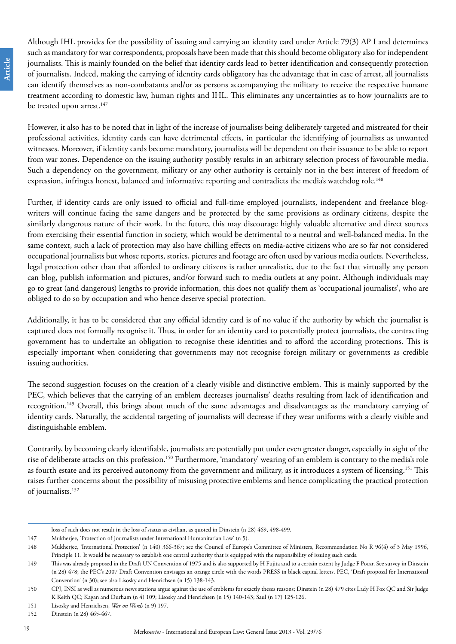Although IHL provides for the possibility of issuing and carrying an identity card under Article 79(3) AP I and determines such as mandatory for war correspondents, proposals have been made that this should become obligatory also for independent journalists. This is mainly founded on the belief that identity cards lead to better identification and consequently protection of journalists. Indeed, making the carrying of identity cards obligatory has the advantage that in case of arrest, all journalists can identify themselves as non-combatants and/or as persons accompanying the military to receive the respective humane treatment according to domestic law, human rights and IHL. This eliminates any uncertainties as to how journalists are to be treated upon arrest.<sup>147</sup>

However, it also has to be noted that in light of the increase of journalists being deliberately targeted and mistreated for their professional activities, identity cards can have detrimental effects, in particular the identifying of journalists as unwanted witnesses. Moreover, if identity cards become mandatory, journalists will be dependent on their issuance to be able to report from war zones. Dependence on the issuing authority possibly results in an arbitrary selection process of favourable media. Such a dependency on the government, military or any other authority is certainly not in the best interest of freedom of expression, infringes honest, balanced and informative reporting and contradicts the media's watchdog role.<sup>148</sup>

Further, if identity cards are only issued to official and full-time employed journalists, independent and freelance blogwriters will continue facing the same dangers and be protected by the same provisions as ordinary citizens, despite the similarly dangerous nature of their work. In the future, this may discourage highly valuable alternative and direct sources from exercising their essential function in society, which would be detrimental to a neutral and well-balanced media. In the same context, such a lack of protection may also have chilling effects on media-active citizens who are so far not considered occupational journalists but whose reports, stories, pictures and footage are often used by various media outlets. Nevertheless, legal protection other than that afforded to ordinary citizens is rather unrealistic, due to the fact that virtually any person can blog, publish information and pictures, and/or forward such to media outlets at any point. Although individuals may go to great (and dangerous) lengths to provide information, this does not qualify them as 'occupational journalists', who are obliged to do so by occupation and who hence deserve special protection.

Additionally, it has to be considered that any official identity card is of no value if the authority by which the journalist is captured does not formally recognise it. Thus, in order for an identity card to potentially protect journalists, the contracting government has to undertake an obligation to recognise these identities and to afford the according protections. This is especially important when considering that governments may not recognise foreign military or governments as credible issuing authorities.

The second suggestion focuses on the creation of a clearly visible and distinctive emblem. This is mainly supported by the PEC, which believes that the carrying of an emblem decreases journalists' deaths resulting from lack of identification and recognition.149 Overall, this brings about much of the same advantages and disadvantages as the mandatory carrying of identity cards. Naturally, the accidental targeting of journalists will decrease if they wear uniforms with a clearly visible and distinguishable emblem.

Contrarily, by becoming clearly identifiable, journalists are potentially put under even greater danger, especially in sight of the rise of deliberate attacks on this profession.150 Furthermore, 'mandatory' wearing of an emblem is contrary to the media's role as fourth estate and its perceived autonomy from the government and military, as it introduces a system of licensing.151 This raises further concerns about the possibility of misusing protective emblems and hence complicating the practical protection of journalists.152

loss of such does not result in the loss of status as civilian, as quoted in Dinstein (n 28) 469, 498-499.

<sup>147</sup> Mukherjee, 'Protection of Journalists under International Humanitarian Law' (n 5).

<sup>148</sup> Mukherjee, 'International Protection' (n 140) 366-367; see the Council of Europe's Committee of Ministers, Recommendation No R 96(4) of 3 May 1996, Principle 11. It would be necessary to establish one central authority that is equipped with the responsibility of issuing such cards.

<sup>149</sup> This was already proposed in the Draft UN Convention of 1975 and is also supported by H Fujita and to a certain extent by Judge F Pocar. See survey in Dinstein (n 28) 478; the PEC's 2007 Draft Convention envisages an orange circle with the words PRESS in black capital letters. PEC, 'Draft proposal for International Convention' (n 30); see also Lisosky and Henrichsen (n 15) 138-143.

<sup>150</sup> CPJ, INSI as well as numerous news stations argue against the use of emblems for exactly theses reasons; Dinstein (n 28) 479 cites Lady H Fox QC and Sir Judge K Keith QC; Kagan and Durham (n 4) 109; Lisosky and Henrichsen (n 15) 140-143; Saul (n 17) 125-126.

<sup>151</sup> Lisosky and Henrichsen, *War on Words* (n 9) 197.

<sup>152</sup> Dinstein (n 28) 465-467.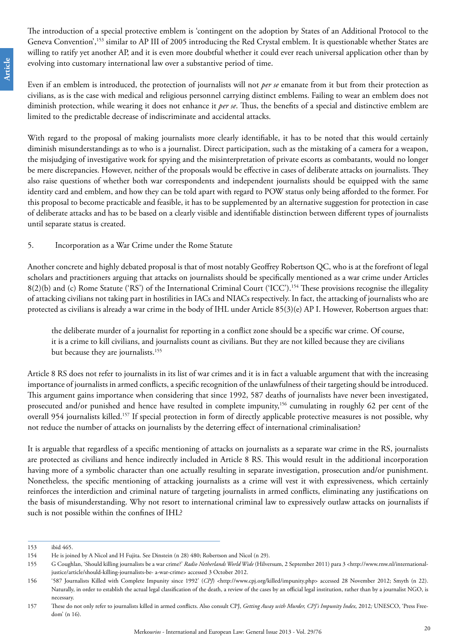The introduction of a special protective emblem is 'contingent on the adoption by States of an Additional Protocol to the Geneva Convention',<sup>153</sup> similar to AP III of 2005 introducing the Red Crystal emblem. It is questionable whether States are willing to ratify yet another AP, and it is even more doubtful whether it could ever reach universal application other than by evolving into customary international law over a substantive period of time.

Even if an emblem is introduced, the protection of journalists will not *per se* emanate from it but from their protection as civilians, as is the case with medical and religious personnel carrying distinct emblems. Failing to wear an emblem does not diminish protection, while wearing it does not enhance it *per se*. Thus, the benefits of a special and distinctive emblem are limited to the predictable decrease of indiscriminate and accidental attacks.

With regard to the proposal of making journalists more clearly identifiable, it has to be noted that this would certainly diminish misunderstandings as to who is a journalist. Direct participation, such as the mistaking of a camera for a weapon, the misjudging of investigative work for spying and the misinterpretation of private escorts as combatants, would no longer be mere discrepancies. However, neither of the proposals would be effective in cases of deliberate attacks on journalists. They also raise questions of whether both war correspondents and independent journalists should be equipped with the same identity card and emblem, and how they can be told apart with regard to POW status only being afforded to the former. For this proposal to become practicable and feasible, it has to be supplemented by an alternative suggestion for protection in case of deliberate attacks and has to be based on a clearly visible and identifiable distinction between different types of journalists until separate status is created.

#### 5. Incorporation as a War Crime under the Rome Statute

Another concrete and highly debated proposal is that of most notably Geoffrey Robertson QC, who is at the forefront of legal scholars and practitioners arguing that attacks on journalists should be specifically mentioned as a war crime under Articles 8(2)(b) and (c) Rome Statute ('RS') of the International Criminal Court ('ICC').154 These provisions recognise the illegality of attacking civilians not taking part in hostilities in IACs and NIACs respectively. In fact, the attacking of journalists who are protected as civilians is already a war crime in the body of IHL under Article 85(3)(e) AP I. However, Robertson argues that:

the deliberate murder of a journalist for reporting in a conflict zone should be a specific war crime. Of course, it is a crime to kill civilians, and journalists count as civilians. But they are not killed because they are civilians but because they are journalists.<sup>155</sup>

Article 8 RS does not refer to journalists in its list of war crimes and it is in fact a valuable argument that with the increasing importance of journalists in armed conflicts, a specific recognition of the unlawfulness of their targeting should be introduced. This argument gains importance when considering that since 1992, 587 deaths of journalists have never been investigated, prosecuted and/or punished and hence have resulted in complete impunity,<sup>156</sup> cumulating in roughly 62 per cent of the overall 954 journalists killed.157 If special protection in form of directly applicable protective measures is not possible, why not reduce the number of attacks on journalists by the deterring effect of international criminalisation?

It is arguable that regardless of a specific mentioning of attacks on journalists as a separate war crime in the RS, journalists are protected as civilians and hence indirectly included in Article 8 RS. This would result in the additional incorporation having more of a symbolic character than one actually resulting in separate investigation, prosecution and/or punishment. Nonetheless, the specific mentioning of attacking journalists as a crime will vest it with expressiveness, which certainly reinforces the interdiction and criminal nature of targeting journalists in armed conflicts, eliminating any justifications on the basis of misunderstanding. Why not resort to international criminal law to expressively outlaw attacks on journalists if such is not possible within the confines of IHL?

<sup>153</sup> ibid 465.

<sup>154</sup> He is joined by A Nicol and H Fujita. See Dinstein (n 28) 480; Robertson and Nicol (n 29).

<sup>155</sup> G Coughlan, 'Should killing journalists be a war crime?' *Radio Netherlands World Wide* (Hilversum, 2 September 2011) para 3 [<http://www.rnw.nl/international](http://www.rnw.nl/international-justice/article/should-killing-journalists-be-%20a-war-crime)[justice/article/should-killing-journalists-be- a-war-crime](http://www.rnw.nl/international-justice/article/should-killing-journalists-be-%20a-war-crime)> accessed 3 October 2012.

<sup>156 &#</sup>x27;587 Journalists Killed with Complete Impunity since 1992' (CPJ) [<http://www.cpj.org/killed/impunity.php](http://www.cpj.org/killed/impunity.php)> accessed 28 November 2012; Smyth (n 22). Naturally, in order to establish the actual legal classification of the death, a review of the cases by an official legal institution, rather than by a journalist NGO, is necessary.

<sup>157</sup> These do not only refer to journalists killed in armed conflicts. Also consult CPJ, *Getting Away with Murder, CPJ's Impunity Index,* 2012*;* UNESCO, 'Press Freedom' (n 16).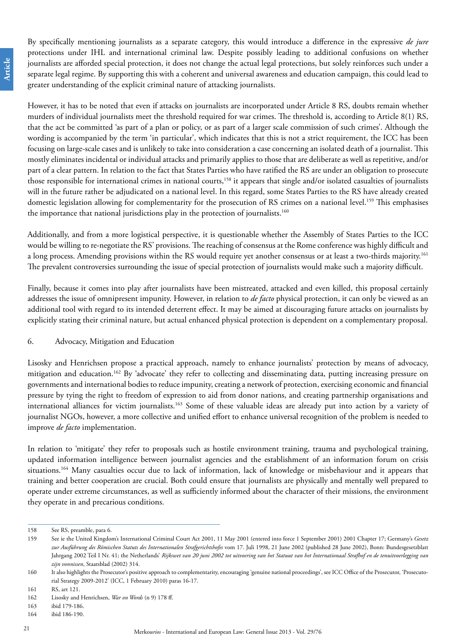By specifically mentioning journalists as a separate category, this would introduce a difference in the expressive *de jure* protections under IHL and international criminal law. Despite possibly leading to additional confusions on whether journalists are afforded special protection, it does not change the actual legal protections, but solely reinforces such under a separate legal regime. By supporting this with a coherent and universal awareness and education campaign, this could lead to greater understanding of the explicit criminal nature of attacking journalists.

However, it has to be noted that even if attacks on journalists are incorporated under Article 8 RS, doubts remain whether murders of individual journalists meet the threshold required for war crimes. The threshold is, according to Article 8(1) RS, that the act be committed 'as part of a plan or policy, or as part of a larger scale commission of such crimes'. Although the wording is accompanied by the term 'in particular', which indicates that this is not a strict requirement, the ICC has been focusing on large-scale cases and is unlikely to take into consideration a case concerning an isolated death of a journalist. This mostly eliminates incidental or individual attacks and primarily applies to those that are deliberate as well as repetitive, and/or part of a clear pattern. In relation to the fact that States Parties who have ratified the RS are under an obligation to prosecute those responsible for international crimes in national courts,<sup>158</sup> it appears that single and/or isolated casualties of journalists will in the future rather be adjudicated on a national level. In this regard, some States Parties to the RS have already created domestic legislation allowing for complementarity for the prosecution of RS crimes on a national level.<sup>159</sup> This emphasises the importance that national jurisdictions play in the protection of journalists.<sup>160</sup>

Additionally, and from a more logistical perspective, it is questionable whether the Assembly of States Parties to the ICC would be willing to re-negotiate the RS' provisions. The reaching of consensus at the Rome conference was highly difficult and a long process. Amending provisions within the RS would require yet another consensus or at least a two-thirds majority.<sup>161</sup> The prevalent controversies surrounding the issue of special protection of journalists would make such a majority difficult.

Finally, because it comes into play after journalists have been mistreated, attacked and even killed, this proposal certainly addresses the issue of omnipresent impunity. However, in relation to *de facto* physical protection, it can only be viewed as an additional tool with regard to its intended deterrent effect. It may be aimed at discouraging future attacks on journalists by explicitly stating their criminal nature, but actual enhanced physical protection is dependent on a complementary proposal.

#### 6. Advocacy, Mitigation and Education

Lisosky and Henrichsen propose a practical approach, namely to enhance journalists' protection by means of advocacy, mitigation and education.162 By 'advocate' they refer to collecting and disseminating data, putting increasing pressure on governments and international bodies to reduce impunity, creating a network of protection, exercising economic and financial pressure by tying the right to freedom of expression to aid from donor nations, and creating partnership organisations and international alliances for victim journalists.163 Some of these valuable ideas are already put into action by a variety of journalist NGOs, however, a more collective and unified effort to enhance universal recognition of the problem is needed to improve *de facto* implementation.

In relation to 'mitigate' they refer to proposals such as hostile environment training, trauma and psychological training, updated information intelligence between journalist agencies and the establishment of an information forum on crisis situations.<sup>164</sup> Many casualties occur due to lack of information, lack of knowledge or misbehaviour and it appears that training and better cooperation are crucial. Both could ensure that journalists are physically and mentally well prepared to operate under extreme circumstances, as well as sufficiently informed about the character of their missions, the environment they operate in and precarious conditions.

<sup>158</sup> See RS, preamble, para 6.

<sup>159</sup> See ie the United Kingdom's International Criminal Court Act 2001, 11 May 2001 (entered into force 1 September 2001) 2001 Chapter 17; Germany's *Gesetz zur Ausführung des Römischen Statuts des Internationalen Strafgerichtshofes* vom 17. Juli 1998, 21 June 2002 (published 28 June 2002), Bonn: Bundesgesetzblatt Jahrgang 2002 Teil I Nr. 41; the Netherlands' Rijkswet van 20 juni 2002 tot uitvoering van het Statuut van het Internationaal Strafhof en de tenuitvoerlegging van *zijn vonnissen*, Staatsblad (2002) 314.

<sup>160</sup> It also highlights the Prosecutor's positive approach to complementarity, encouraging 'genuine national proceedings', see ICC Office of the Prosecutor, 'Prosecutorial Strategy 2009-2012' (ICC, 1 February 2010) paras 16-17.

<sup>161</sup> RS, art 121.

<sup>162</sup> Lisosky and Henrichsen, *War on Words* (n 9) 178 ff.

<sup>163</sup> ibid 179-186.

<sup>164</sup> ibid 186-190.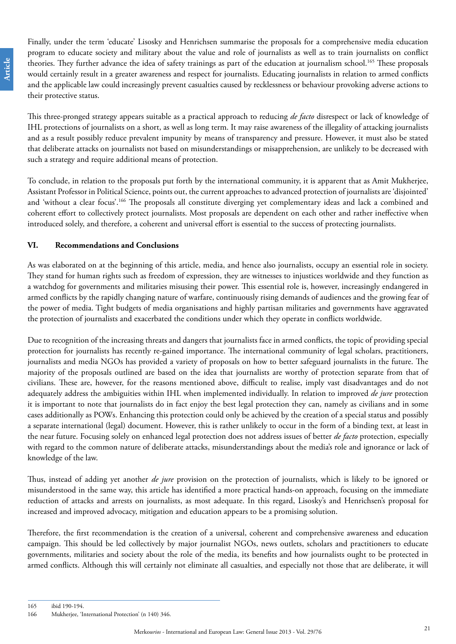Finally, under the term 'educate' Lisosky and Henrichsen summarise the proposals for a comprehensive media education program to educate society and military about the value and role of journalists as well as to train journalists on conflict theories. They further advance the idea of safety trainings as part of the education at journalism school.<sup>165</sup> These proposals would certainly result in a greater awareness and respect for journalists. Educating journalists in relation to armed conflicts and the applicable law could increasingly prevent casualties caused by recklessness or behaviour provoking adverse actions to their protective status.

This three-pronged strategy appears suitable as a practical approach to reducing *de facto* disrespect or lack of knowledge of IHL protections of journalists on a short, as well as long term. It may raise awareness of the illegality of attacking journalists and as a result possibly reduce prevalent impunity by means of transparency and pressure. However, it must also be stated that deliberate attacks on journalists not based on misunderstandings or misapprehension, are unlikely to be decreased with such a strategy and require additional means of protection.

To conclude, in relation to the proposals put forth by the international community, it is apparent that as Amit Mukherjee, Assistant Professor in Political Science, points out, the current approaches to advanced protection of journalists are 'disjointed' and 'without a clear focus'.<sup>166</sup> The proposals all constitute diverging yet complementary ideas and lack a combined and coherent effort to collectively protect journalists. Most proposals are dependent on each other and rather ineffective when introduced solely, and therefore, a coherent and universal effort is essential to the success of protecting journalists.

#### **VI. Recommendations and Conclusions**

As was elaborated on at the beginning of this article, media, and hence also journalists, occupy an essential role in society. They stand for human rights such as freedom of expression, they are witnesses to injustices worldwide and they function as a watchdog for governments and militaries misusing their power. This essential role is, however, increasingly endangered in armed conflicts by the rapidly changing nature of warfare, continuously rising demands of audiences and the growing fear of the power of media. Tight budgets of media organisations and highly partisan militaries and governments have aggravated the protection of journalists and exacerbated the conditions under which they operate in conflicts worldwide.

Due to recognition of the increasing threats and dangers that journalists face in armed conflicts, the topic of providing special protection for journalists has recently re-gained importance. The international community of legal scholars, practitioners, journalists and media NGOs has provided a variety of proposals on how to better safeguard journalists in the future. The majority of the proposals outlined are based on the idea that journalists are worthy of protection separate from that of civilians. These are, however, for the reasons mentioned above, difficult to realise, imply vast disadvantages and do not adequately address the ambiguities within IHL when implemented individually. In relation to improved *de jure* protection it is important to note that journalists do in fact enjoy the best legal protection they can, namely as civilians and in some cases additionally as POWs. Enhancing this protection could only be achieved by the creation of a special status and possibly a separate international (legal) document. However, this is rather unlikely to occur in the form of a binding text, at least in the near future. Focusing solely on enhanced legal protection does not address issues of better *de facto* protection, especially with regard to the common nature of deliberate attacks, misunderstandings about the media's role and ignorance or lack of knowledge of the law.

Thus, instead of adding yet another *de jure* provision on the protection of journalists, which is likely to be ignored or misunderstood in the same way, this article has identified a more practical hands-on approach, focusing on the immediate reduction of attacks and arrests on journalists, as most adequate. In this regard, Lisosky's and Henrichsen's proposal for increased and improved advocacy, mitigation and education appears to be a promising solution.

Therefore, the first recommendation is the creation of a universal, coherent and comprehensive awareness and education campaign. This should be led collectively by major journalist NGOs, news outlets, scholars and practitioners to educate governments, militaries and society about the role of the media, its benefits and how journalists ought to be protected in armed conflicts. Although this will certainly not eliminate all casualties, and especially not those that are deliberate, it will

165 ibid 190-194.

<sup>166</sup> Mukherjee, 'International Protection' (n 140) 346.